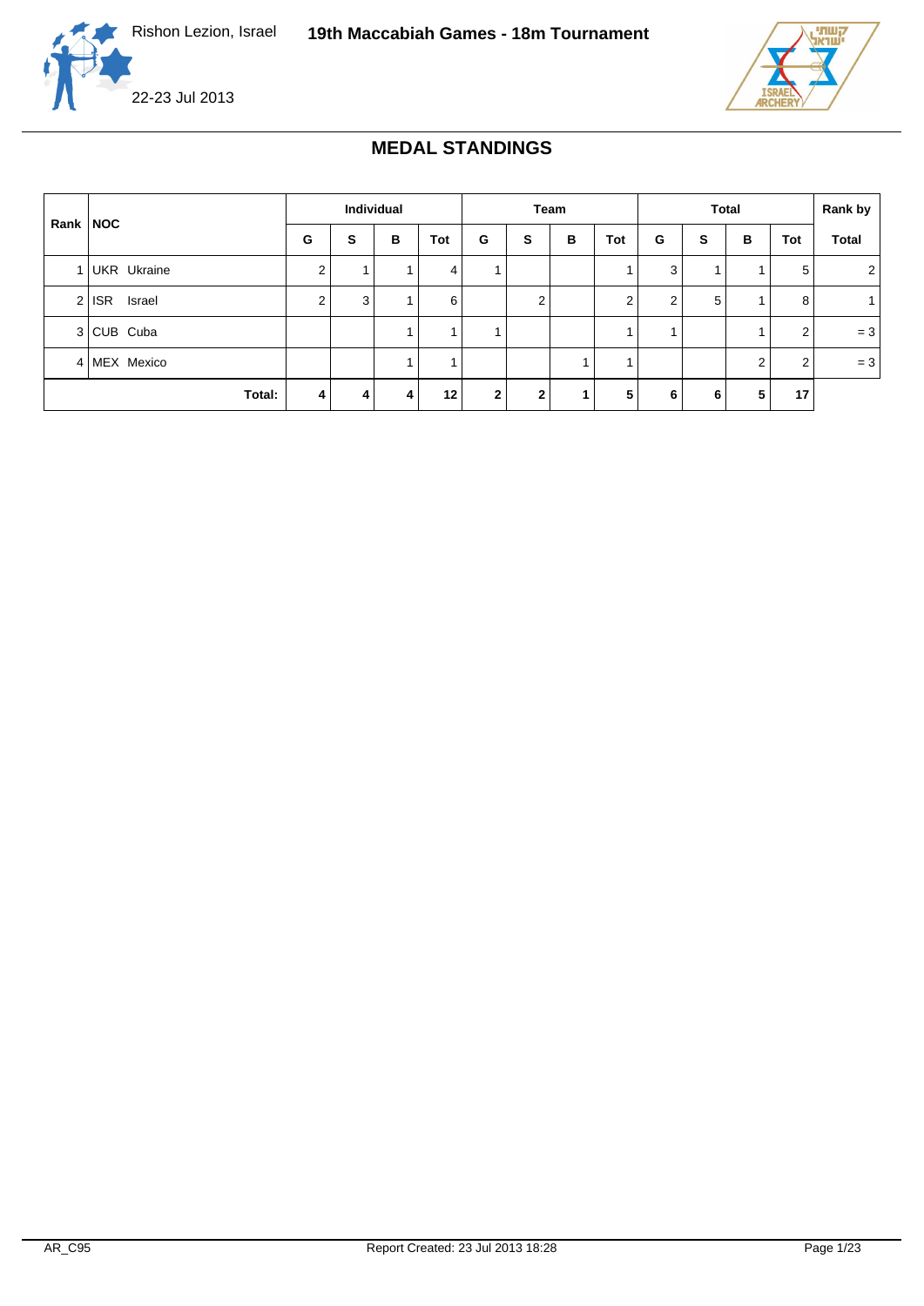



### **MEDAL STANDINGS**

|          |                   |                | Individual |   |         |              |              | Team |                |                | <b>Total</b> |   |     | Rank by      |
|----------|-------------------|----------------|------------|---|---------|--------------|--------------|------|----------------|----------------|--------------|---|-----|--------------|
| Rank NOC |                   | G              | s          | в | Tot     | G            | s            | В    | Tot            | G              | s            | B | Tot | <b>Total</b> |
|          | 1 UKR Ukraine     | $\overline{2}$ |            |   | 4       |              |              |      |                | 3              |              |   | 5   | 2            |
|          | $2$ ISR<br>Israel | $\overline{2}$ | 3          |   | 6       |              | 2            |      | $\overline{2}$ | 2 <sub>1</sub> | 5            |   | 8   |              |
|          | 3 CUB Cuba        |                |            |   |         |              |              |      |                |                |              |   | 2   | $= 3$        |
|          | 4 MEX Mexico      |                |            |   |         |              |              |      |                |                |              | 2 | 2   | $= 3$        |
|          | Total:            | $\vert$ 4      | 4          | 4 | $12 \,$ | $\mathbf{2}$ | $\mathbf{2}$ |      | 5              | 6              | 6            | 5 | 17  |              |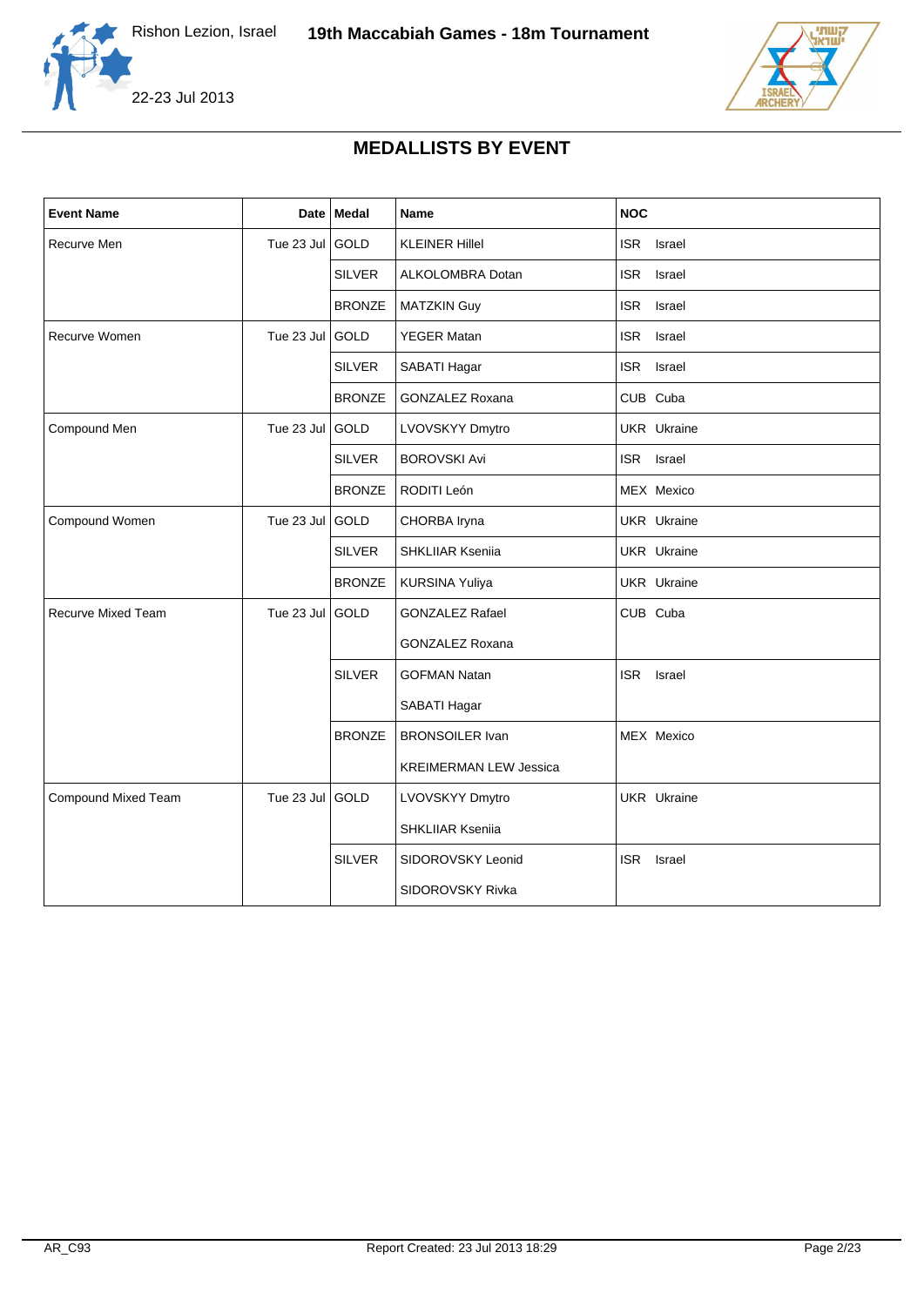





## **MEDALLISTS BY EVENT**

| <b>Event Name</b>   |                 | Date   Medal  | <b>Name</b>                   | <b>NOC</b>           |
|---------------------|-----------------|---------------|-------------------------------|----------------------|
| Recurve Men         | Tue 23 Jul GOLD |               | <b>KLEINER Hillel</b>         | <b>ISR</b><br>Israel |
|                     |                 | <b>SILVER</b> | ALKOLOMBRA Dotan              | <b>ISR</b><br>Israel |
|                     |                 | <b>BRONZE</b> | <b>MATZKIN Guy</b>            | <b>ISR</b><br>Israel |
| Recurve Women       | Tue 23 Jul      | GOLD          | <b>YEGER Matan</b>            | <b>ISR</b><br>Israel |
|                     |                 | <b>SILVER</b> | SABATI Hagar                  | ISR Israel           |
|                     |                 | <b>BRONZE</b> | <b>GONZALEZ Roxana</b>        | CUB Cuba             |
| Compound Men        | Tue 23 Jul      | GOLD          | LVOVSKYY Dmytro               | <b>UKR</b> Ukraine   |
|                     |                 | <b>SILVER</b> | <b>BOROVSKI Avi</b>           | ISR Israel           |
|                     |                 | <b>BRONZE</b> | RODITI León                   | MEX Mexico           |
| Compound Women      | Tue 23 Jul      | GOLD          | CHORBA Iryna                  | UKR Ukraine          |
|                     |                 | <b>SILVER</b> | SHKLIIAR Kseniia              | UKR Ukraine          |
|                     |                 | <b>BRONZE</b> | KURSINA Yuliya                | UKR Ukraine          |
| Recurve Mixed Team  | Tue 23 Jul GOLD |               | <b>GONZALEZ Rafael</b>        | CUB Cuba             |
|                     |                 |               | GONZALEZ Roxana               |                      |
|                     |                 | <b>SILVER</b> | <b>GOFMAN Natan</b>           | <b>ISR</b><br>Israel |
|                     |                 |               | SABATI Hagar                  |                      |
|                     |                 | <b>BRONZE</b> | <b>BRONSOILER Ivan</b>        | MEX Mexico           |
|                     |                 |               | <b>KREIMERMAN LEW Jessica</b> |                      |
| Compound Mixed Team | Tue 23 Jul GOLD |               | LVOVSKYY Dmytro               | <b>UKR</b> Ukraine   |
|                     |                 |               | SHKLIIAR Kseniia              |                      |
|                     |                 | <b>SILVER</b> | SIDOROVSKY Leonid             | <b>ISR</b><br>Israel |
|                     |                 |               | SIDOROVSKY Rivka              |                      |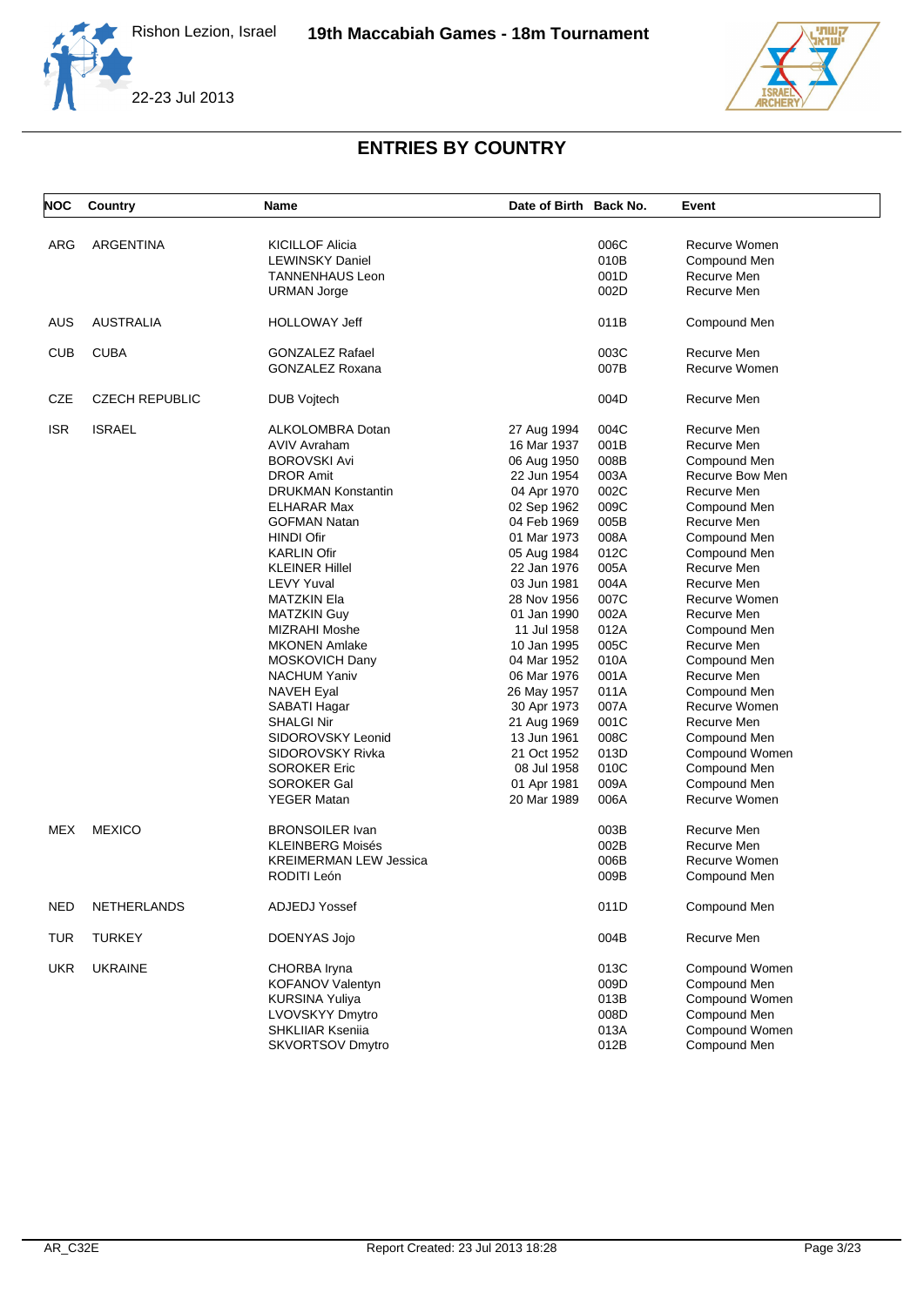





# **ENTRIES BY COUNTRY**

| NOC        | Country               | <b>Name</b>                   | Date of Birth Back No. |      | Event           |
|------------|-----------------------|-------------------------------|------------------------|------|-----------------|
|            |                       |                               |                        |      |                 |
| ARG        | ARGENTINA             | <b>KICILLOF Alicia</b>        |                        | 006C | Recurve Women   |
|            |                       | <b>LEWINSKY Daniel</b>        |                        | 010B | Compound Men    |
|            |                       | <b>TANNENHAUS Leon</b>        |                        | 001D | Recurve Men     |
|            |                       | URMAN Jorge                   |                        | 002D | Recurve Men     |
| <b>AUS</b> | <b>AUSTRALIA</b>      | HOLLOWAY Jeff                 |                        | 011B | Compound Men    |
| <b>CUB</b> | <b>CUBA</b>           | <b>GONZALEZ Rafael</b>        |                        | 003C | Recurve Men     |
|            |                       | <b>GONZALEZ Roxana</b>        |                        | 007B | Recurve Women   |
| CZE        | <b>CZECH REPUBLIC</b> | <b>DUB Vojtech</b>            |                        | 004D | Recurve Men     |
| <b>ISR</b> | <b>ISRAEL</b>         | ALKOLOMBRA Dotan              | 27 Aug 1994            | 004C | Recurve Men     |
|            |                       | <b>AVIV Avraham</b>           | 16 Mar 1937            | 001B | Recurve Men     |
|            |                       | <b>BOROVSKI Avi</b>           | 06 Aug 1950            | 008B | Compound Men    |
|            |                       | <b>DROR Amit</b>              | 22 Jun 1954            | 003A | Recurve Bow Men |
|            |                       | <b>DRUKMAN Konstantin</b>     | 04 Apr 1970            | 002C | Recurve Men     |
|            |                       | ELHARAR Max                   | 02 Sep 1962            | 009C | Compound Men    |
|            |                       | <b>GOFMAN Natan</b>           | 04 Feb 1969            | 005B | Recurve Men     |
|            |                       | <b>HINDI Ofir</b>             | 01 Mar 1973            | 008A | Compound Men    |
|            |                       | <b>KARLIN Ofir</b>            | 05 Aug 1984            | 012C | Compound Men    |
|            |                       | <b>KLEINER Hillel</b>         | 22 Jan 1976            | 005A | Recurve Men     |
|            |                       | <b>LEVY Yuval</b>             | 03 Jun 1981            | 004A | Recurve Men     |
|            |                       | <b>MATZKIN Ela</b>            | 28 Nov 1956            | 007C | Recurve Women   |
|            |                       | <b>MATZKIN Guy</b>            | 01 Jan 1990            | 002A | Recurve Men     |
|            |                       | MIZRAHI Moshe                 | 11 Jul 1958            | 012A | Compound Men    |
|            |                       | <b>MKONEN Amlake</b>          | 10 Jan 1995            | 005C | Recurve Men     |
|            |                       |                               | 04 Mar 1952            |      |                 |
|            |                       | MOSKOVICH Dany                |                        | 010A | Compound Men    |
|            |                       | <b>NACHUM Yaniv</b>           | 06 Mar 1976            | 001A | Recurve Men     |
|            |                       | <b>NAVEH Eyal</b>             | 26 May 1957            | 011A | Compound Men    |
|            |                       | SABATI Hagar                  | 30 Apr 1973            | 007A | Recurve Women   |
|            |                       | <b>SHALGI Nir</b>             | 21 Aug 1969            | 001C | Recurve Men     |
|            |                       | SIDOROVSKY Leonid             | 13 Jun 1961            | 008C | Compound Men    |
|            |                       | SIDOROVSKY Rivka              | 21 Oct 1952            | 013D | Compound Women  |
|            |                       | <b>SOROKER Eric</b>           | 08 Jul 1958            | 010C | Compound Men    |
|            |                       | SOROKER Gal                   | 01 Apr 1981            | 009A | Compound Men    |
|            |                       | <b>YEGER Matan</b>            | 20 Mar 1989            | 006A | Recurve Women   |
| MEX        | <b>MEXICO</b>         | <b>BRONSOILER Ivan</b>        |                        | 003B | Recurve Men     |
|            |                       | <b>KLEINBERG Moisés</b>       |                        | 002B | Recurve Men     |
|            |                       | <b>KREIMERMAN LEW Jessica</b> |                        | 006B | Recurve Women   |
|            |                       | RODITI León                   |                        | 009B | Compound Men    |
| <b>NED</b> | NETHERLANDS           | <b>ADJEDJ Yossef</b>          |                        | 011D | Compound Men    |
| <b>TUR</b> | <b>TURKEY</b>         | DOENYAS Jojo                  |                        | 004B | Recurve Men     |
| <b>UKR</b> | <b>UKRAINE</b>        | CHORBA Iryna                  |                        | 013C | Compound Women  |
|            |                       | KOFANOV Valentyn              |                        | 009D | Compound Men    |
|            |                       | <b>KURSINA Yuliya</b>         |                        | 013B | Compound Women  |
|            |                       | LVOVSKYY Dmytro               |                        | 008D | Compound Men    |
|            |                       | <b>SHKLIIAR Kseniia</b>       |                        | 013A | Compound Women  |
|            |                       | SKVORTSOV Dmytro              |                        | 012B | Compound Men    |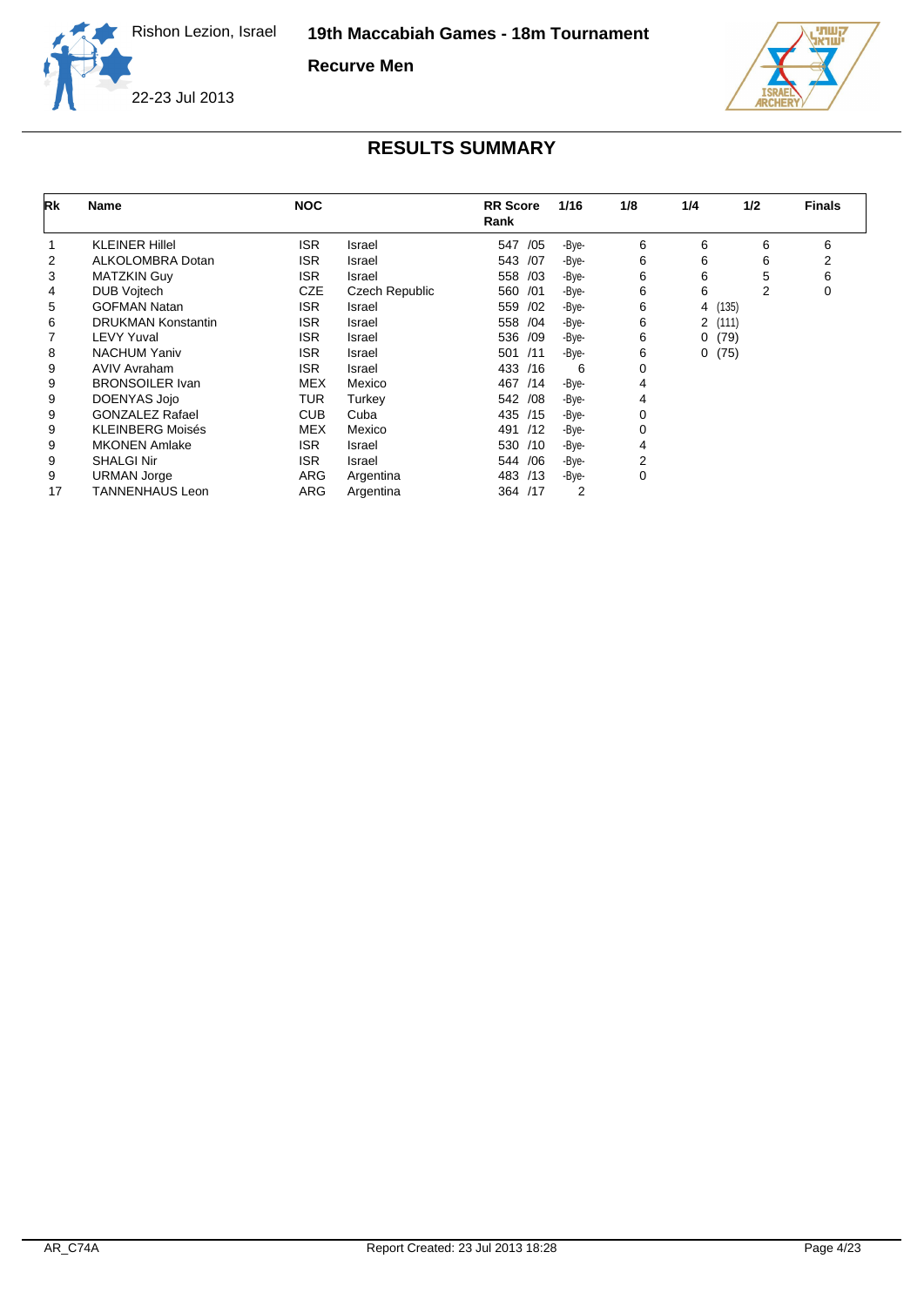**Recurve Men**



22-23 Jul 2013

| Rk | <b>Name</b>               | <b>NOC</b> |                | <b>RR</b> Score<br>Rank | 1/16           | 1/8 | 1/4    | 1/2     | <b>Finals</b> |
|----|---------------------------|------------|----------------|-------------------------|----------------|-----|--------|---------|---------------|
|    | <b>KLEINER Hillel</b>     | <b>ISR</b> | Israel         | /05<br>547              | -Bye-          | 6   | 6      | 6       | 6             |
| 2  | <b>ALKOLOMBRA Dotan</b>   | <b>ISR</b> | Israel         | 543 /07                 | -Bye-          | 6   | 6      | 6       | 2             |
| 3  | <b>MATZKIN Guy</b>        | <b>ISR</b> | Israel         | /03<br>558              | -Bye-          | 6   | 6      | 5       | 6             |
| 4  | <b>DUB Voitech</b>        | <b>CZE</b> | Czech Republic | /01<br>560              | -Bye-          | 6   | 6      | 2       | 0             |
| 5  | <b>GOFMAN Natan</b>       | <b>ISR</b> | Israel         | /02<br>559              | -Bye-          | 6   |        | 4 (135) |               |
| 6  | <b>DRUKMAN Konstantin</b> | <b>ISR</b> | Israel         | 558 /04                 | -Bye-          | 6   | 2(111) |         |               |
|    | <b>LEVY Yuval</b>         | <b>ISR</b> | Israel         | 536 /09                 | -Bye-          | 6   | 0      | (79)    |               |
| 8  | <b>NACHUM Yaniv</b>       | <b>ISR</b> | Israel         | /11<br>501              | -Bye-          | 6   | 0      | (75)    |               |
| 9  | <b>AVIV Avraham</b>       | <b>ISR</b> | Israel         | 433 /16                 | 6              | 0   |        |         |               |
| 9  | <b>BRONSOILER Ivan</b>    | <b>MEX</b> | Mexico         | 467 /14                 | -Bye-          | 4   |        |         |               |
| 9  | DOENYAS Jojo              | <b>TUR</b> | Turkey         | 542 / 08                | -Bye-          | 4   |        |         |               |
| 9  | <b>GONZALEZ Rafael</b>    | <b>CUB</b> | Cuba           | 435 /15                 | -Bye-          | 0   |        |         |               |
| 9  | <b>KLEINBERG Moisés</b>   | <b>MEX</b> | Mexico         | 491 /12                 | -Bye-          | 0   |        |         |               |
| 9  | <b>MKONEN Amlake</b>      | ISR.       | Israel         | 530 /10                 | -Bye-          | 4   |        |         |               |
| 9  | <b>SHALGI Nir</b>         | ISR.       | Israel         | 544 / 06                | -Bye-          | 2   |        |         |               |
| 9  | <b>URMAN Jorge</b>        | ARG        | Argentina      | 483 /13                 | -Bye-          | 0   |        |         |               |
| 17 | <b>TANNENHAUS Leon</b>    | ARG        | Argentina      | 364 /17                 | $\overline{2}$ |     |        |         |               |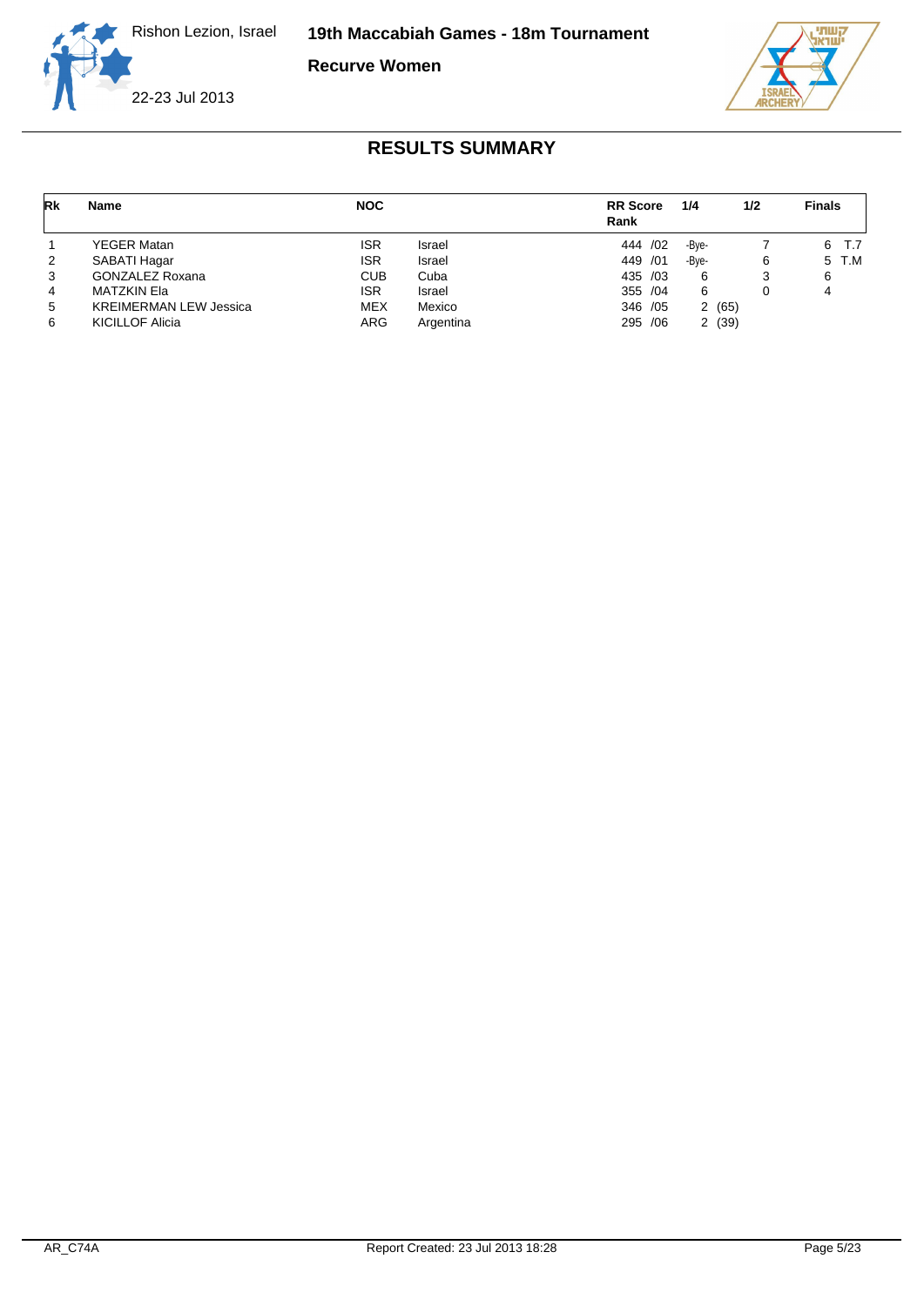**19th Maccabiah Games - 18m Tournament**

**Recurve Women**





| Rk | Name                          | <b>NOC</b> |           | <b>RR</b> Score<br>Rank | 1/4   | 1/2   | <b>Finals</b> |
|----|-------------------------------|------------|-----------|-------------------------|-------|-------|---------------|
|    | YEGER Matan                   | <b>ISR</b> | Israel    | 444 / 02                | -Bye- |       | 6<br>T.7      |
| 2  | SABATI Hagar                  | <b>ISR</b> | Israel    | 449 / 01                | -Bye- | 6     | 5 T.M         |
| 3  | GONZALEZ Roxana               | <b>CUB</b> | Cuba      | 435 /03                 | 6     | 3     | 6             |
| 4  | MATZKIN Ela                   | <b>ISR</b> | Israel    | 355 /04                 | 6     |       |               |
| 5  | <b>KREIMERMAN LEW Jessica</b> | <b>MEX</b> | Mexico    | 346 / 05                |       | 2(65) |               |
| 6  | <b>KICILLOF Alicia</b>        | <b>ARG</b> | Argentina | 295 /06                 |       | 2(39) |               |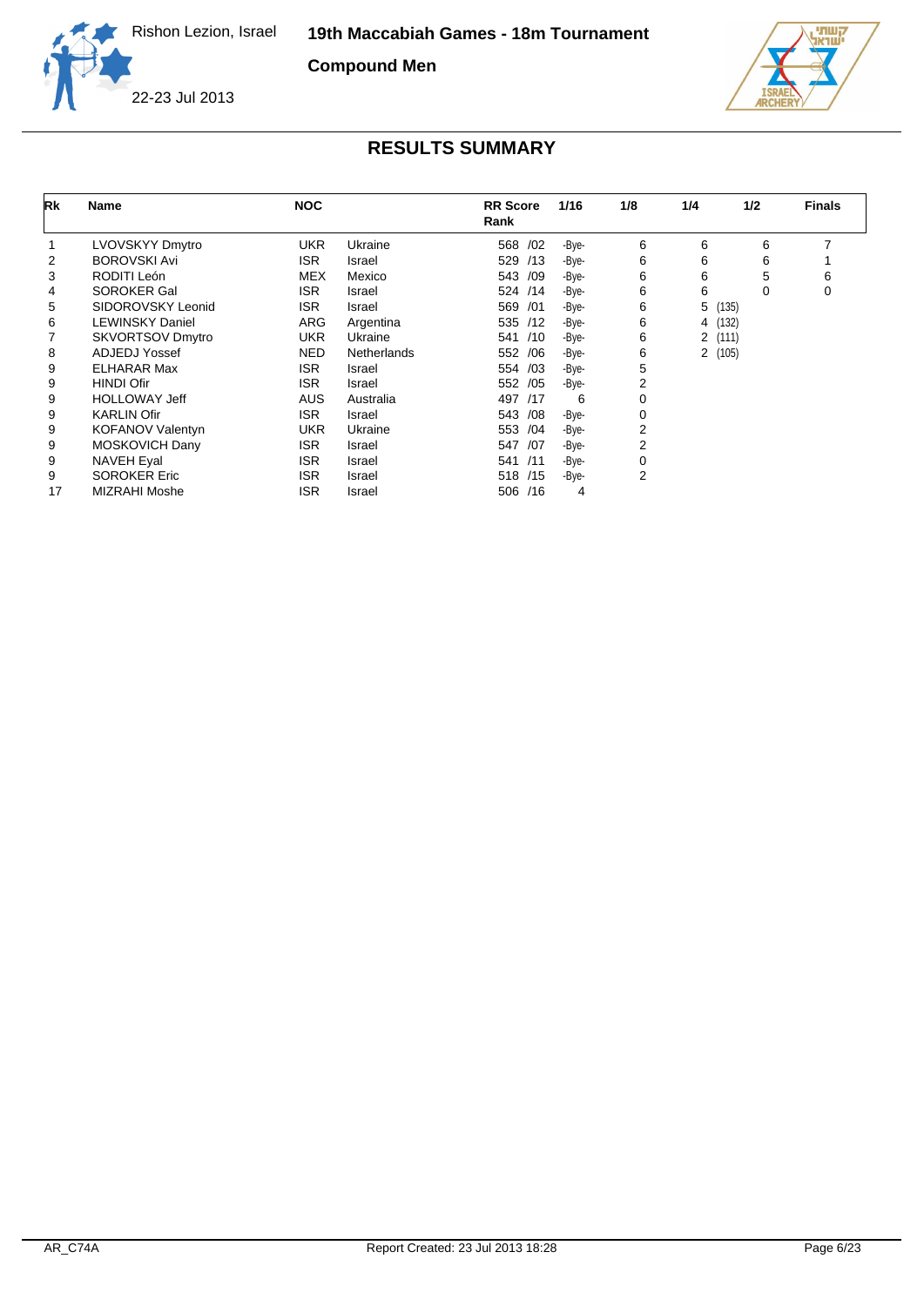**Compound Men**





| Rk | <b>Name</b>             | <b>NOC</b> |                    | <b>RR</b> Score<br>Rank | 1/16  | 1/8 | 1/4     | 1/2   | <b>Finals</b> |
|----|-------------------------|------------|--------------------|-------------------------|-------|-----|---------|-------|---------------|
|    | LVOVSKYY Dmytro         | <b>UKR</b> | Ukraine            | /02<br>568              | -Bye- | 6   | 6       | 6     | 7             |
| 2  | <b>BOROVSKI Avi</b>     | <b>ISR</b> | Israel             | 529 /13                 | -Bye- | 6   | 6       | 6     |               |
| 3  | RODITI León             | <b>MEX</b> | Mexico             | 543<br>/09              | -Bye- | 6   | 6       | 5     | 6             |
| 4  | <b>SOROKER Gal</b>      | <b>ISR</b> | Israel             | 524 /14                 | -Bye- | 6   | 6       | 0     | 0             |
| 5  | SIDOROVSKY Leonid       | <b>ISR</b> | Israel             | 569 /01                 | -Bye- | 6   | 5       | (135) |               |
| 6  | <b>LEWINSKY Daniel</b>  | ARG        | Argentina          | 535 /12                 | -Bye- | 6   | 4 (132) |       |               |
|    | <b>SKVORTSOV Dmytro</b> | UKR        | Ukraine            | 541 /10                 | -Bye- | 6   | 2(111)  |       |               |
| 8  | ADJEDJ Yossef           | <b>NED</b> | <b>Netherlands</b> | 552 /06                 | -Bye- | 6   | 2(105)  |       |               |
| 9  | <b>ELHARAR Max</b>      | <b>ISR</b> | Israel             | 554 /03                 | -Bye- | 5   |         |       |               |
| 9  | <b>HINDI Ofir</b>       | <b>ISR</b> | Israel             | 552 /05                 | -Bye- | 2   |         |       |               |
| 9  | <b>HOLLOWAY Jeff</b>    | AUS.       | Australia          | 497 /17                 | 6     | 0   |         |       |               |
| 9  | <b>KARLIN Ofir</b>      | <b>ISR</b> | Israel             | 543<br>/08              | -Bye- | 0   |         |       |               |
| 9  | <b>KOFANOV Valentyn</b> | <b>UKR</b> | Ukraine            | 553 /04                 | -Bye- | 2   |         |       |               |
| 9  | <b>MOSKOVICH Dany</b>   | <b>ISR</b> | Israel             | /07<br>547              | -Bye- | 2   |         |       |               |
| 9  | <b>NAVEH Eyal</b>       | <b>ISR</b> | Israel             | 541 /11                 | -Bye- | 0   |         |       |               |
| 9  | <b>SOROKER Eric</b>     | <b>ISR</b> | Israel             | 518 /15                 | -Bye- | 2   |         |       |               |
| 17 | <b>MIZRAHI Moshe</b>    | <b>ISR</b> | Israel             | 506<br>/16              | 4     |     |         |       |               |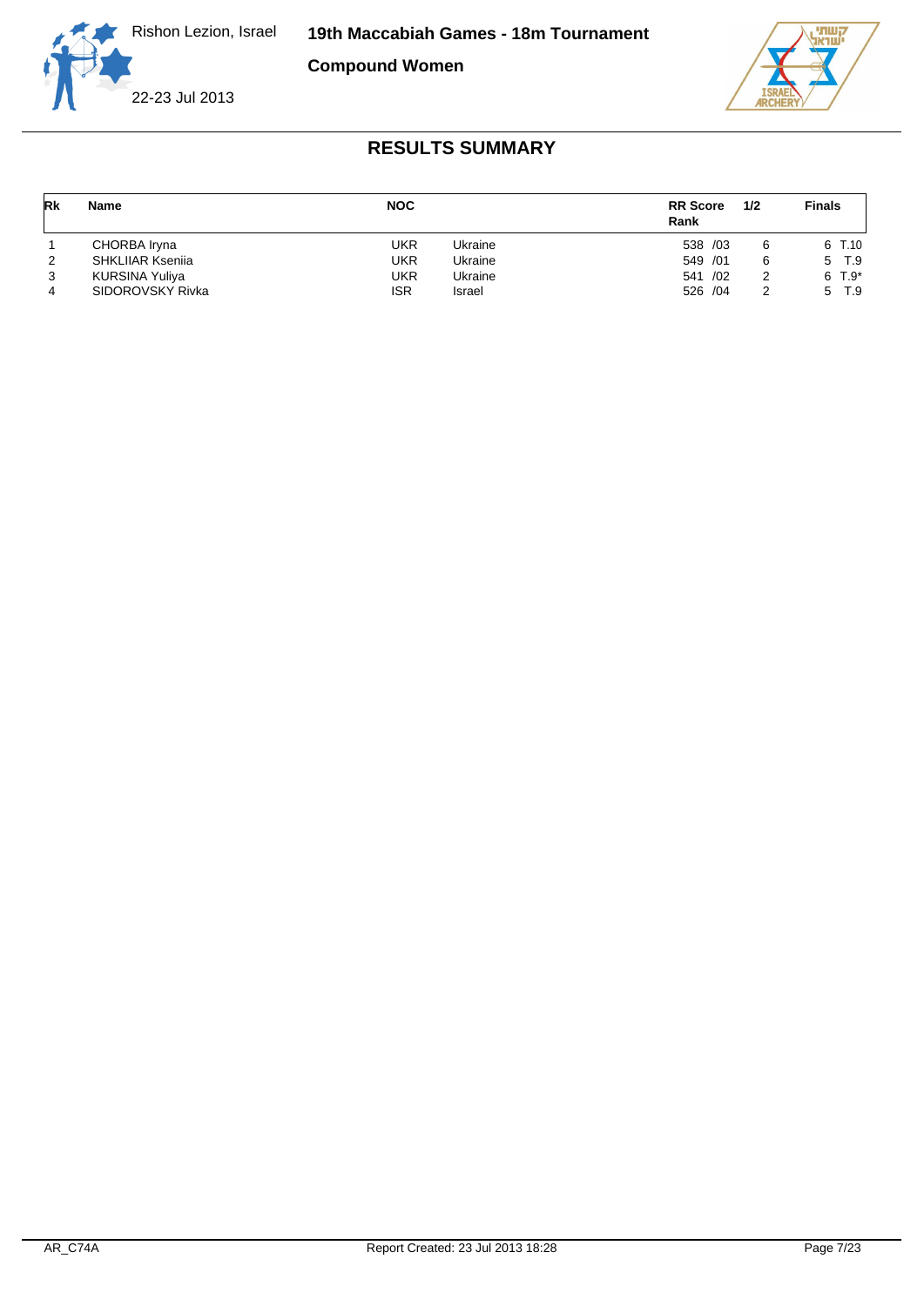

**Compound Women**





| Rk | Name                    | <b>NOC</b> |         | <b>RR</b> Score<br>Rank | 1/2 | <b>Finals</b> |
|----|-------------------------|------------|---------|-------------------------|-----|---------------|
|    | CHORBA Iryna            | UKR        | Ukraine | 538 /03                 | 6   | 6 T.10        |
| 2  | <b>SHKLIIAR Ksenija</b> | UKR        | Ukraine | 549 /01                 | 6   | 5 T.9         |
| 3  | KURSINA Yuliya          | UKR        | Ukraine | 541 /02                 | 2   | $6T.9*$       |
|    | SIDOROVSKY Rivka        | <b>ISR</b> | Israel  | 526 /04                 | 2   | T.9<br>5      |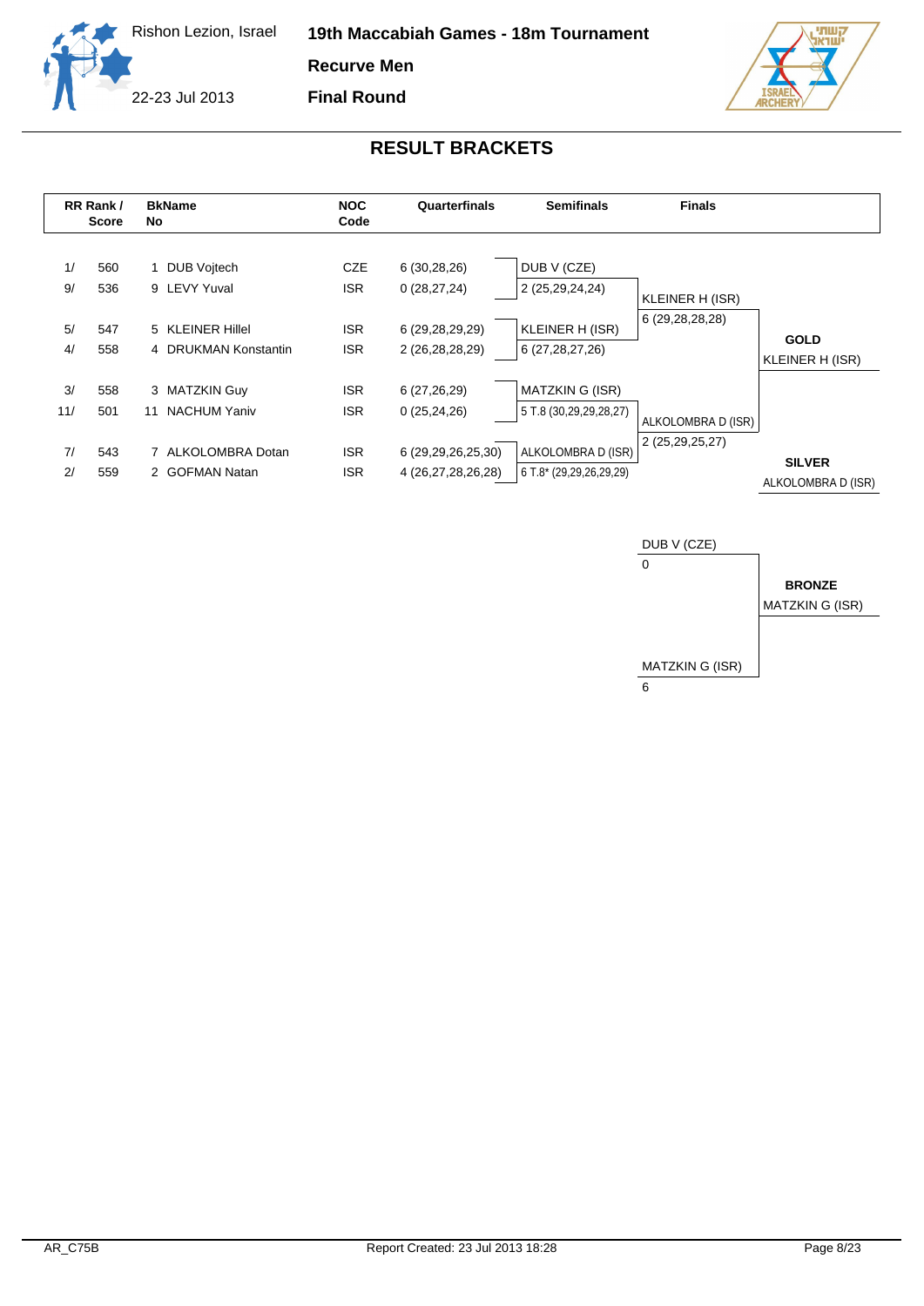

**Recurve Men**

**Final Round**





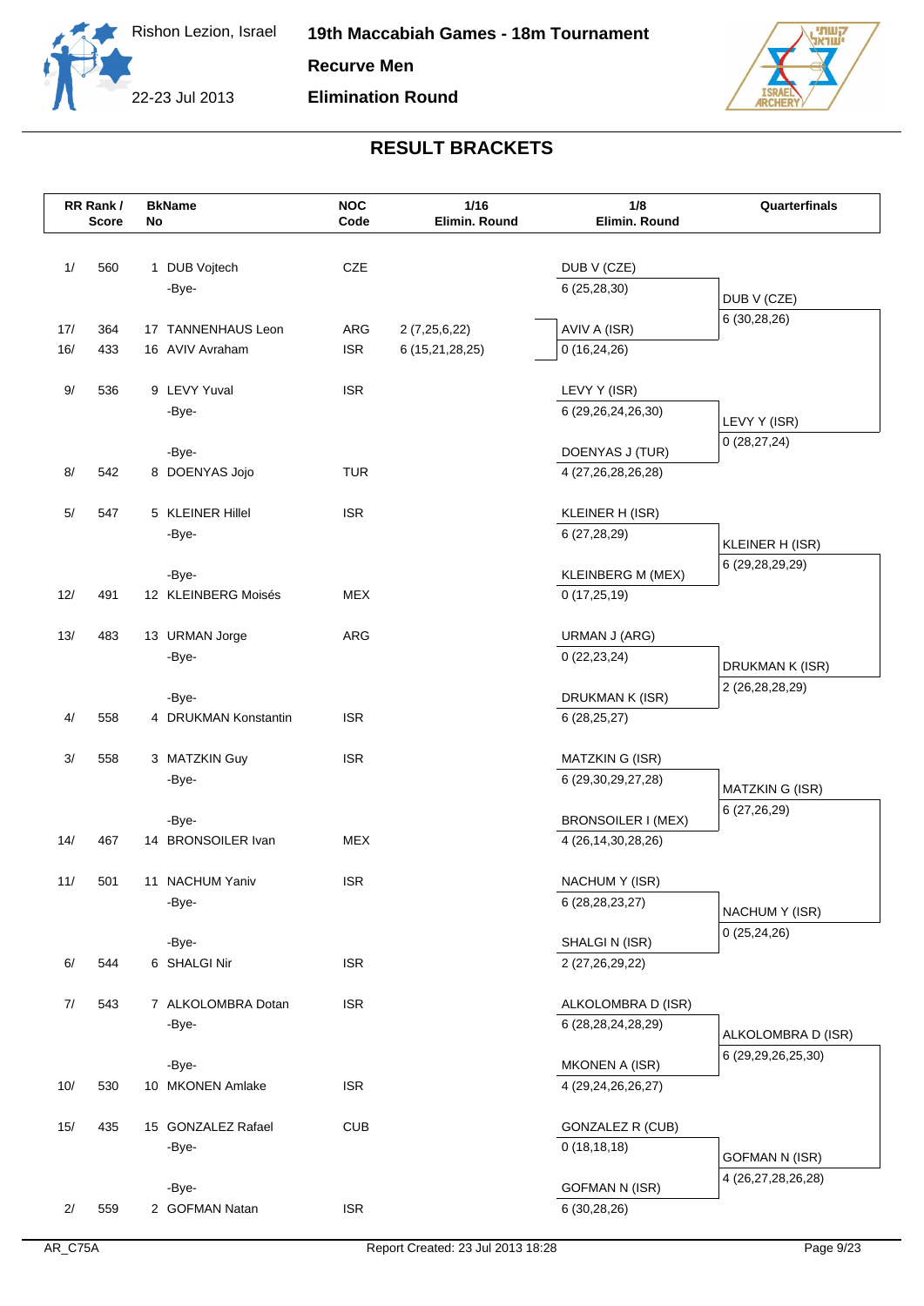



| CZE<br>1/<br>560<br>1 DUB Vojtech<br>DUB V (CZE)<br>6(25, 28, 30)<br>-Bye-<br>DUB V (CZE)<br>6 (30,28,26)<br>364<br>17 TANNENHAUS Leon<br>AVIV A (ISR)<br>17/<br>ARG<br>2(7,25,6,22)<br><b>ISR</b><br>16/<br>433<br>16 AVIV Avraham<br>6 (15,21,28,25)<br>0(16,24,26)<br>9/<br>536<br>9 LEVY Yuval<br><b>ISR</b><br>LEVY Y (ISR)<br>-Bye-<br>6 (29,26,24,26,30)<br>LEVY Y (ISR)<br>0(28, 27, 24)<br>DOENYAS J (TUR)<br>-Bye-<br>8 DOENYAS Jojo<br><b>TUR</b><br>8/<br>542<br>4 (27,26,28,26,28)<br>547<br>5 KLEINER Hillel<br><b>ISR</b><br>5/<br>KLEINER H (ISR)<br>6 (27,28,29)<br>-Bye-<br>KLEINER H (ISR)<br>6 (29, 28, 29, 29)<br>KLEINBERG M (MEX)<br>-Bye-<br>12/<br>491<br>12 KLEINBERG Moisés<br><b>MEX</b><br>0(17,25,19)<br><b>ARG</b><br>13/<br>483<br>13 URMAN Jorge<br>URMAN J (ARG)<br>-Bye-<br>0(22, 23, 24)<br>DRUKMAN K (ISR)<br>2 (26, 28, 28, 29)<br>-Bye-<br>DRUKMAN K (ISR)<br>4 DRUKMAN Konstantin<br><b>ISR</b><br>4/<br>558<br>6(28, 25, 27)<br><b>ISR</b><br>3/<br>558<br>3 MATZKIN Guy<br>MATZKIN G (ISR)<br>-Bye-<br>6 (29, 30, 29, 27, 28)<br>MATZKIN G (ISR)<br>6 (27,26,29)<br>BRONSOILER I (MEX)<br>-Bye-<br>14/<br><b>MEX</b><br>467<br>14 BRONSOILER Ivan<br>4 (26, 14, 30, 28, 26)<br><b>ISR</b><br>11/<br>501<br>11 NACHUM Yaniv<br>NACHUM Y (ISR)<br>-Bye-<br>6 (28, 28, 23, 27)<br>NACHUM Y (ISR)<br>0(25, 24, 26)<br>-Bye-<br>SHALGIN (ISR)<br><b>ISR</b><br>6/<br>544<br>6 SHALGI Nir<br>2 (27,26,29,22)<br>543<br>7 ALKOLOMBRA Dotan<br><b>ISR</b><br>ALKOLOMBRA D (ISR)<br>7/<br>-Bye-<br>6 (28, 28, 24, 28, 29)<br>ALKOLOMBRA D (ISR)<br>6 (29,29,26,25,30)<br><b>MKONEN A (ISR)</b><br>-Bye-<br>10/<br>530<br>10 MKONEN Amlake<br><b>ISR</b><br>4 (29,24,26,26,27)<br>435<br><b>CUB</b><br><b>GONZALEZ R (CUB)</b><br>15/<br>15 GONZALEZ Rafael<br>0(18, 18, 18)<br>-Bye-<br><b>GOFMAN N (ISR)</b><br>4 (26,27,28,26,28)<br><b>GOFMAN N (ISR)</b><br>-Bye- |    | RR Rank/<br>Score | No | <b>BkName</b>  | <b>NOC</b><br>Code | 1/16<br>Elimin. Round | 1/8<br>Elimin. Round | Quarterfinals |
|--------------------------------------------------------------------------------------------------------------------------------------------------------------------------------------------------------------------------------------------------------------------------------------------------------------------------------------------------------------------------------------------------------------------------------------------------------------------------------------------------------------------------------------------------------------------------------------------------------------------------------------------------------------------------------------------------------------------------------------------------------------------------------------------------------------------------------------------------------------------------------------------------------------------------------------------------------------------------------------------------------------------------------------------------------------------------------------------------------------------------------------------------------------------------------------------------------------------------------------------------------------------------------------------------------------------------------------------------------------------------------------------------------------------------------------------------------------------------------------------------------------------------------------------------------------------------------------------------------------------------------------------------------------------------------------------------------------------------------------------------------------------------------------------------------------------------------------------------------------------------------------------------------|----|-------------------|----|----------------|--------------------|-----------------------|----------------------|---------------|
|                                                                                                                                                                                                                                                                                                                                                                                                                                                                                                                                                                                                                                                                                                                                                                                                                                                                                                                                                                                                                                                                                                                                                                                                                                                                                                                                                                                                                                                                                                                                                                                                                                                                                                                                                                                                                                                                                                        |    |                   |    |                |                    |                       |                      |               |
|                                                                                                                                                                                                                                                                                                                                                                                                                                                                                                                                                                                                                                                                                                                                                                                                                                                                                                                                                                                                                                                                                                                                                                                                                                                                                                                                                                                                                                                                                                                                                                                                                                                                                                                                                                                                                                                                                                        |    |                   |    |                |                    |                       |                      |               |
|                                                                                                                                                                                                                                                                                                                                                                                                                                                                                                                                                                                                                                                                                                                                                                                                                                                                                                                                                                                                                                                                                                                                                                                                                                                                                                                                                                                                                                                                                                                                                                                                                                                                                                                                                                                                                                                                                                        |    |                   |    |                |                    |                       |                      |               |
|                                                                                                                                                                                                                                                                                                                                                                                                                                                                                                                                                                                                                                                                                                                                                                                                                                                                                                                                                                                                                                                                                                                                                                                                                                                                                                                                                                                                                                                                                                                                                                                                                                                                                                                                                                                                                                                                                                        |    |                   |    |                |                    |                       |                      |               |
|                                                                                                                                                                                                                                                                                                                                                                                                                                                                                                                                                                                                                                                                                                                                                                                                                                                                                                                                                                                                                                                                                                                                                                                                                                                                                                                                                                                                                                                                                                                                                                                                                                                                                                                                                                                                                                                                                                        |    |                   |    |                |                    |                       |                      |               |
|                                                                                                                                                                                                                                                                                                                                                                                                                                                                                                                                                                                                                                                                                                                                                                                                                                                                                                                                                                                                                                                                                                                                                                                                                                                                                                                                                                                                                                                                                                                                                                                                                                                                                                                                                                                                                                                                                                        |    |                   |    |                |                    |                       |                      |               |
|                                                                                                                                                                                                                                                                                                                                                                                                                                                                                                                                                                                                                                                                                                                                                                                                                                                                                                                                                                                                                                                                                                                                                                                                                                                                                                                                                                                                                                                                                                                                                                                                                                                                                                                                                                                                                                                                                                        |    |                   |    |                |                    |                       |                      |               |
|                                                                                                                                                                                                                                                                                                                                                                                                                                                                                                                                                                                                                                                                                                                                                                                                                                                                                                                                                                                                                                                                                                                                                                                                                                                                                                                                                                                                                                                                                                                                                                                                                                                                                                                                                                                                                                                                                                        |    |                   |    |                |                    |                       |                      |               |
|                                                                                                                                                                                                                                                                                                                                                                                                                                                                                                                                                                                                                                                                                                                                                                                                                                                                                                                                                                                                                                                                                                                                                                                                                                                                                                                                                                                                                                                                                                                                                                                                                                                                                                                                                                                                                                                                                                        |    |                   |    |                |                    |                       |                      |               |
|                                                                                                                                                                                                                                                                                                                                                                                                                                                                                                                                                                                                                                                                                                                                                                                                                                                                                                                                                                                                                                                                                                                                                                                                                                                                                                                                                                                                                                                                                                                                                                                                                                                                                                                                                                                                                                                                                                        |    |                   |    |                |                    |                       |                      |               |
|                                                                                                                                                                                                                                                                                                                                                                                                                                                                                                                                                                                                                                                                                                                                                                                                                                                                                                                                                                                                                                                                                                                                                                                                                                                                                                                                                                                                                                                                                                                                                                                                                                                                                                                                                                                                                                                                                                        |    |                   |    |                |                    |                       |                      |               |
|                                                                                                                                                                                                                                                                                                                                                                                                                                                                                                                                                                                                                                                                                                                                                                                                                                                                                                                                                                                                                                                                                                                                                                                                                                                                                                                                                                                                                                                                                                                                                                                                                                                                                                                                                                                                                                                                                                        |    |                   |    |                |                    |                       |                      |               |
|                                                                                                                                                                                                                                                                                                                                                                                                                                                                                                                                                                                                                                                                                                                                                                                                                                                                                                                                                                                                                                                                                                                                                                                                                                                                                                                                                                                                                                                                                                                                                                                                                                                                                                                                                                                                                                                                                                        |    |                   |    |                |                    |                       |                      |               |
|                                                                                                                                                                                                                                                                                                                                                                                                                                                                                                                                                                                                                                                                                                                                                                                                                                                                                                                                                                                                                                                                                                                                                                                                                                                                                                                                                                                                                                                                                                                                                                                                                                                                                                                                                                                                                                                                                                        |    |                   |    |                |                    |                       |                      |               |
|                                                                                                                                                                                                                                                                                                                                                                                                                                                                                                                                                                                                                                                                                                                                                                                                                                                                                                                                                                                                                                                                                                                                                                                                                                                                                                                                                                                                                                                                                                                                                                                                                                                                                                                                                                                                                                                                                                        |    |                   |    |                |                    |                       |                      |               |
|                                                                                                                                                                                                                                                                                                                                                                                                                                                                                                                                                                                                                                                                                                                                                                                                                                                                                                                                                                                                                                                                                                                                                                                                                                                                                                                                                                                                                                                                                                                                                                                                                                                                                                                                                                                                                                                                                                        |    |                   |    |                |                    |                       |                      |               |
|                                                                                                                                                                                                                                                                                                                                                                                                                                                                                                                                                                                                                                                                                                                                                                                                                                                                                                                                                                                                                                                                                                                                                                                                                                                                                                                                                                                                                                                                                                                                                                                                                                                                                                                                                                                                                                                                                                        |    |                   |    |                |                    |                       |                      |               |
|                                                                                                                                                                                                                                                                                                                                                                                                                                                                                                                                                                                                                                                                                                                                                                                                                                                                                                                                                                                                                                                                                                                                                                                                                                                                                                                                                                                                                                                                                                                                                                                                                                                                                                                                                                                                                                                                                                        |    |                   |    |                |                    |                       |                      |               |
|                                                                                                                                                                                                                                                                                                                                                                                                                                                                                                                                                                                                                                                                                                                                                                                                                                                                                                                                                                                                                                                                                                                                                                                                                                                                                                                                                                                                                                                                                                                                                                                                                                                                                                                                                                                                                                                                                                        |    |                   |    |                |                    |                       |                      |               |
|                                                                                                                                                                                                                                                                                                                                                                                                                                                                                                                                                                                                                                                                                                                                                                                                                                                                                                                                                                                                                                                                                                                                                                                                                                                                                                                                                                                                                                                                                                                                                                                                                                                                                                                                                                                                                                                                                                        |    |                   |    |                |                    |                       |                      |               |
|                                                                                                                                                                                                                                                                                                                                                                                                                                                                                                                                                                                                                                                                                                                                                                                                                                                                                                                                                                                                                                                                                                                                                                                                                                                                                                                                                                                                                                                                                                                                                                                                                                                                                                                                                                                                                                                                                                        |    |                   |    |                |                    |                       |                      |               |
|                                                                                                                                                                                                                                                                                                                                                                                                                                                                                                                                                                                                                                                                                                                                                                                                                                                                                                                                                                                                                                                                                                                                                                                                                                                                                                                                                                                                                                                                                                                                                                                                                                                                                                                                                                                                                                                                                                        |    |                   |    |                |                    |                       |                      |               |
|                                                                                                                                                                                                                                                                                                                                                                                                                                                                                                                                                                                                                                                                                                                                                                                                                                                                                                                                                                                                                                                                                                                                                                                                                                                                                                                                                                                                                                                                                                                                                                                                                                                                                                                                                                                                                                                                                                        |    |                   |    |                |                    |                       |                      |               |
|                                                                                                                                                                                                                                                                                                                                                                                                                                                                                                                                                                                                                                                                                                                                                                                                                                                                                                                                                                                                                                                                                                                                                                                                                                                                                                                                                                                                                                                                                                                                                                                                                                                                                                                                                                                                                                                                                                        |    |                   |    |                |                    |                       |                      |               |
|                                                                                                                                                                                                                                                                                                                                                                                                                                                                                                                                                                                                                                                                                                                                                                                                                                                                                                                                                                                                                                                                                                                                                                                                                                                                                                                                                                                                                                                                                                                                                                                                                                                                                                                                                                                                                                                                                                        |    |                   |    |                |                    |                       |                      |               |
|                                                                                                                                                                                                                                                                                                                                                                                                                                                                                                                                                                                                                                                                                                                                                                                                                                                                                                                                                                                                                                                                                                                                                                                                                                                                                                                                                                                                                                                                                                                                                                                                                                                                                                                                                                                                                                                                                                        |    |                   |    |                |                    |                       |                      |               |
|                                                                                                                                                                                                                                                                                                                                                                                                                                                                                                                                                                                                                                                                                                                                                                                                                                                                                                                                                                                                                                                                                                                                                                                                                                                                                                                                                                                                                                                                                                                                                                                                                                                                                                                                                                                                                                                                                                        |    |                   |    |                |                    |                       |                      |               |
|                                                                                                                                                                                                                                                                                                                                                                                                                                                                                                                                                                                                                                                                                                                                                                                                                                                                                                                                                                                                                                                                                                                                                                                                                                                                                                                                                                                                                                                                                                                                                                                                                                                                                                                                                                                                                                                                                                        |    |                   |    |                |                    |                       |                      |               |
|                                                                                                                                                                                                                                                                                                                                                                                                                                                                                                                                                                                                                                                                                                                                                                                                                                                                                                                                                                                                                                                                                                                                                                                                                                                                                                                                                                                                                                                                                                                                                                                                                                                                                                                                                                                                                                                                                                        |    |                   |    |                |                    |                       |                      |               |
|                                                                                                                                                                                                                                                                                                                                                                                                                                                                                                                                                                                                                                                                                                                                                                                                                                                                                                                                                                                                                                                                                                                                                                                                                                                                                                                                                                                                                                                                                                                                                                                                                                                                                                                                                                                                                                                                                                        |    |                   |    |                |                    |                       |                      |               |
|                                                                                                                                                                                                                                                                                                                                                                                                                                                                                                                                                                                                                                                                                                                                                                                                                                                                                                                                                                                                                                                                                                                                                                                                                                                                                                                                                                                                                                                                                                                                                                                                                                                                                                                                                                                                                                                                                                        |    |                   |    |                |                    |                       |                      |               |
|                                                                                                                                                                                                                                                                                                                                                                                                                                                                                                                                                                                                                                                                                                                                                                                                                                                                                                                                                                                                                                                                                                                                                                                                                                                                                                                                                                                                                                                                                                                                                                                                                                                                                                                                                                                                                                                                                                        |    |                   |    |                |                    |                       |                      |               |
|                                                                                                                                                                                                                                                                                                                                                                                                                                                                                                                                                                                                                                                                                                                                                                                                                                                                                                                                                                                                                                                                                                                                                                                                                                                                                                                                                                                                                                                                                                                                                                                                                                                                                                                                                                                                                                                                                                        |    |                   |    |                |                    |                       |                      |               |
|                                                                                                                                                                                                                                                                                                                                                                                                                                                                                                                                                                                                                                                                                                                                                                                                                                                                                                                                                                                                                                                                                                                                                                                                                                                                                                                                                                                                                                                                                                                                                                                                                                                                                                                                                                                                                                                                                                        |    |                   |    |                |                    |                       |                      |               |
|                                                                                                                                                                                                                                                                                                                                                                                                                                                                                                                                                                                                                                                                                                                                                                                                                                                                                                                                                                                                                                                                                                                                                                                                                                                                                                                                                                                                                                                                                                                                                                                                                                                                                                                                                                                                                                                                                                        |    |                   |    |                |                    |                       |                      |               |
|                                                                                                                                                                                                                                                                                                                                                                                                                                                                                                                                                                                                                                                                                                                                                                                                                                                                                                                                                                                                                                                                                                                                                                                                                                                                                                                                                                                                                                                                                                                                                                                                                                                                                                                                                                                                                                                                                                        |    |                   |    |                |                    |                       |                      |               |
|                                                                                                                                                                                                                                                                                                                                                                                                                                                                                                                                                                                                                                                                                                                                                                                                                                                                                                                                                                                                                                                                                                                                                                                                                                                                                                                                                                                                                                                                                                                                                                                                                                                                                                                                                                                                                                                                                                        |    |                   |    |                |                    |                       |                      |               |
|                                                                                                                                                                                                                                                                                                                                                                                                                                                                                                                                                                                                                                                                                                                                                                                                                                                                                                                                                                                                                                                                                                                                                                                                                                                                                                                                                                                                                                                                                                                                                                                                                                                                                                                                                                                                                                                                                                        |    |                   |    |                |                    |                       |                      |               |
|                                                                                                                                                                                                                                                                                                                                                                                                                                                                                                                                                                                                                                                                                                                                                                                                                                                                                                                                                                                                                                                                                                                                                                                                                                                                                                                                                                                                                                                                                                                                                                                                                                                                                                                                                                                                                                                                                                        |    |                   |    |                |                    |                       |                      |               |
|                                                                                                                                                                                                                                                                                                                                                                                                                                                                                                                                                                                                                                                                                                                                                                                                                                                                                                                                                                                                                                                                                                                                                                                                                                                                                                                                                                                                                                                                                                                                                                                                                                                                                                                                                                                                                                                                                                        | 2/ | 559               |    | 2 GOFMAN Natan | <b>ISR</b>         |                       | 6 (30,28,26)         |               |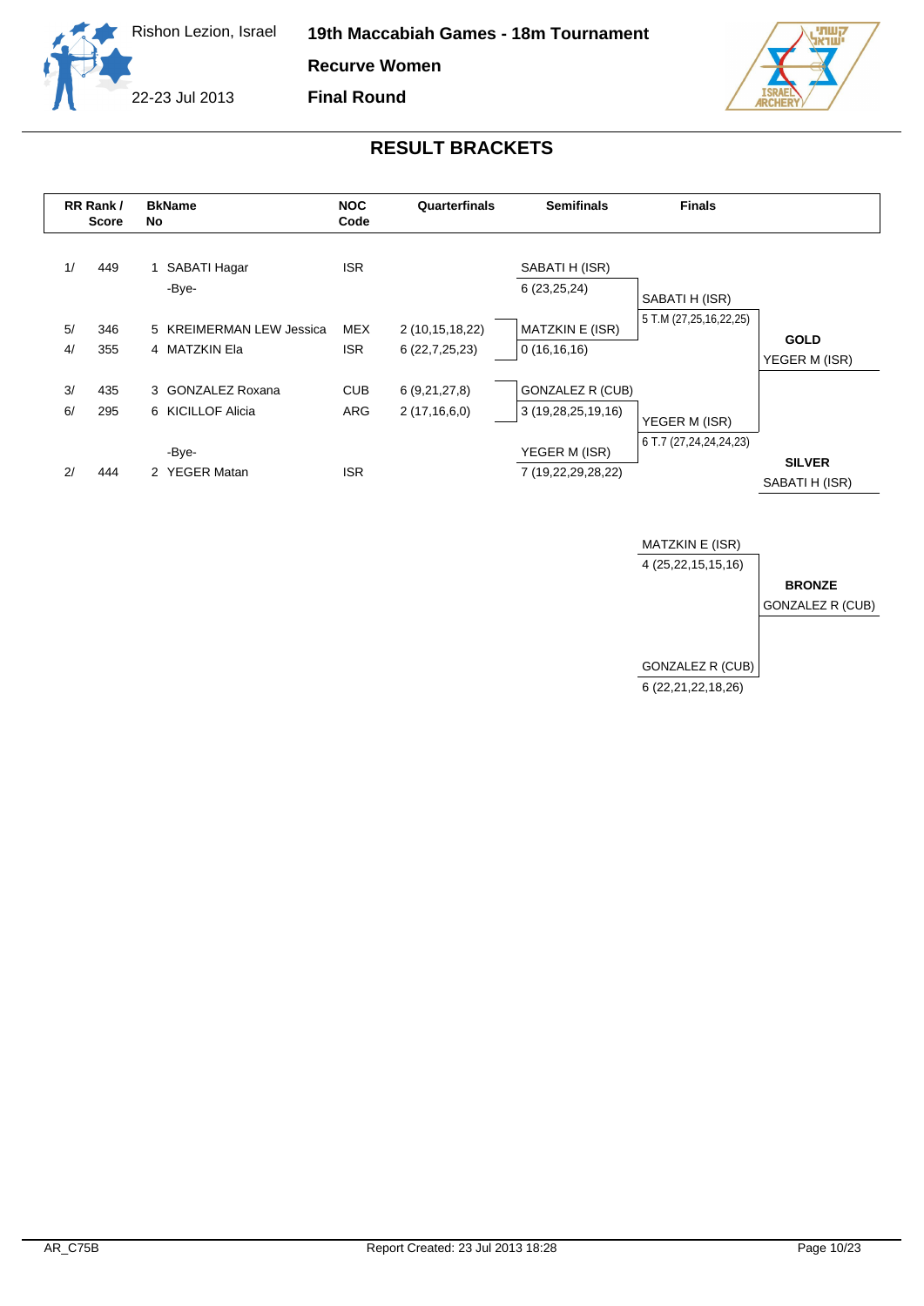



|    | RR Rank/<br><b>Score</b> | <b>BkName</b><br>No      | <b>NOC</b><br>Code | Quarterfinals   | <b>Semifinals</b>       | <b>Finals</b>          |                                 |
|----|--------------------------|--------------------------|--------------------|-----------------|-------------------------|------------------------|---------------------------------|
| 1/ | 449                      | SABATI Hagar             | <b>ISR</b>         |                 | SABATI H (ISR)          |                        |                                 |
|    |                          | -Bye-                    |                    |                 | 6(23,25,24)             | SABATI H (ISR)         |                                 |
| 5/ | 346                      | 5 KREIMERMAN LEW Jessica | <b>MEX</b>         | 2 (10,15,18,22) | MATZKIN E (ISR)         | 5 T.M (27,25,16,22,25) |                                 |
| 4/ | 355                      | 4 MATZKIN Ela            | <b>ISR</b>         | 6(22,7,25,23)   | 0(16,16,16)             |                        | <b>GOLD</b><br>YEGER M (ISR)    |
| 3/ | 435                      | 3 GONZALEZ Roxana        | <b>CUB</b>         | 6(9,21,27,8)    | <b>GONZALEZ R (CUB)</b> |                        |                                 |
| 6/ | 295                      | 6 KICILLOF Alicia        | ARG                | 2(17,16,6,0)    | 3 (19,28,25,19,16)      | YEGER M (ISR)          |                                 |
|    |                          | -Bye-                    |                    |                 | YEGER M (ISR)           | 6 T.7 (27,24,24,24,23) |                                 |
| 2/ | 444                      | 2 YEGER Matan            | <b>ISR</b>         |                 | 7 (19,22,29,28,22)      |                        | <b>SILVER</b><br>SABATI H (ISR) |

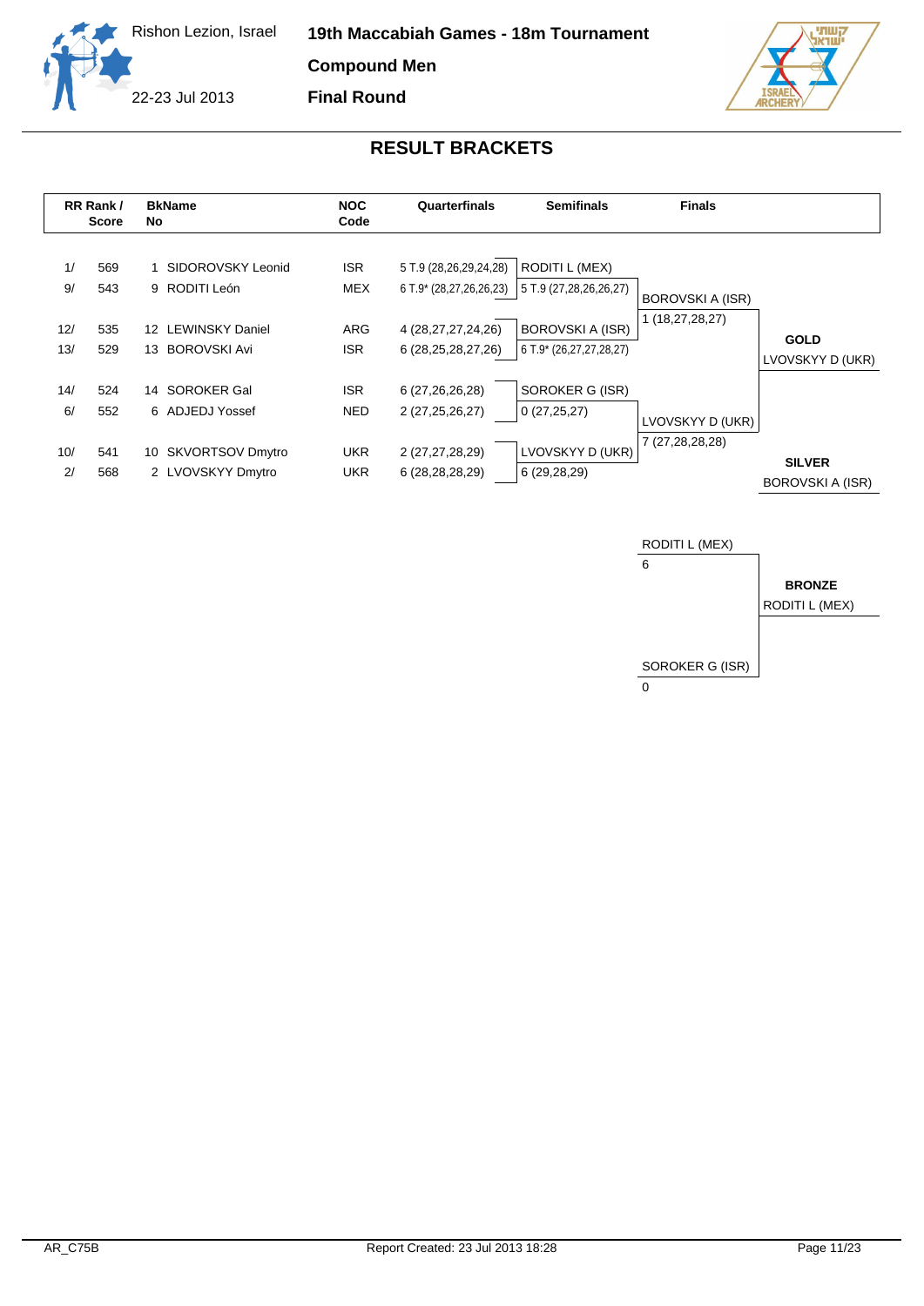



**Final Round**



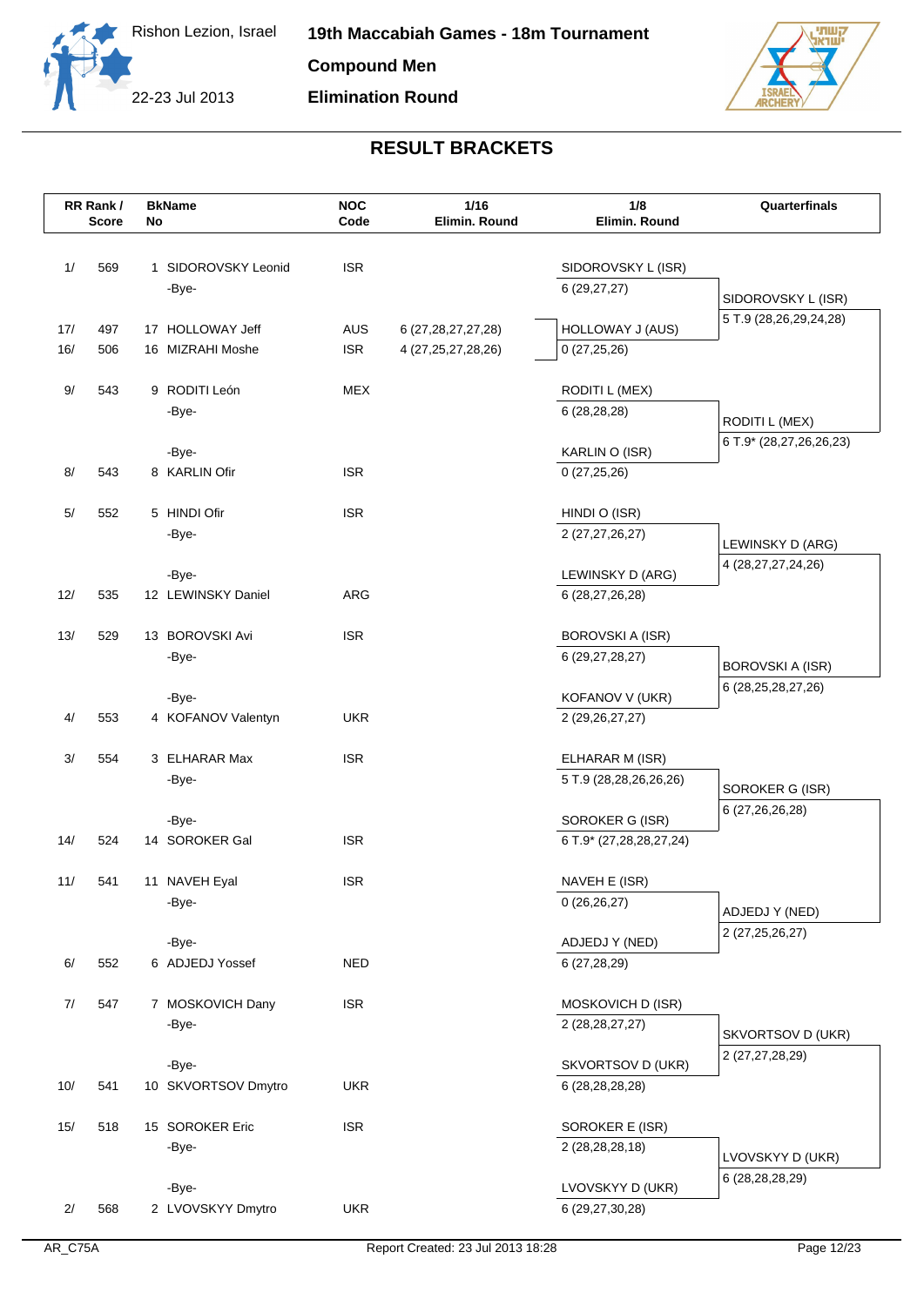



|     | RR Rank/ |    | <b>BkName</b>               | <b>NOC</b><br>Code | 1/16                   | 1/8                                 | Quarterfinals                                     |
|-----|----------|----|-----------------------------|--------------------|------------------------|-------------------------------------|---------------------------------------------------|
|     | Score    | No |                             |                    | Elimin. Round          | Elimin. Round                       |                                                   |
| 1/  | 569      |    | 1 SIDOROVSKY Leonid         | <b>ISR</b>         |                        |                                     |                                                   |
|     |          |    | -Bye-                       |                    |                        | SIDOROVSKY L (ISR)<br>6(29, 27, 27) |                                                   |
|     |          |    |                             |                    |                        |                                     | SIDOROVSKY L (ISR)                                |
| 17/ | 497      |    | 17 HOLLOWAY Jeff            | <b>AUS</b>         | 6 (27, 28, 27, 27, 28) | <b>HOLLOWAY J (AUS)</b>             | 5 T.9 (28,26,29,24,28)                            |
| 16/ | 506      |    | 16 MIZRAHI Moshe            | <b>ISR</b>         | 4 (27, 25, 27, 28, 26) | 0(27,25,26)                         |                                                   |
|     |          |    |                             |                    |                        |                                     |                                                   |
| 9/  | 543      |    | 9 RODITI León               | <b>MEX</b>         |                        | <b>RODITI L (MEX)</b>               |                                                   |
|     |          |    | -Bye-                       |                    |                        | 6(28, 28, 28)                       | RODITI L (MEX)                                    |
|     |          |    | -Bye-                       |                    |                        | KARLIN O (ISR)                      | 6 T.9* (28,27,26,26,23)                           |
| 8/  | 543      |    | 8 KARLIN Ofir               | <b>ISR</b>         |                        | 0(27,25,26)                         |                                                   |
|     |          |    |                             |                    |                        |                                     |                                                   |
| 5/  | 552      |    | 5 HINDI Ofir                | <b>ISR</b>         |                        | HINDI O (ISR)                       |                                                   |
|     |          |    | -Bye-                       |                    |                        | 2 (27,27,26,27)                     | LEWINSKY D (ARG)                                  |
|     |          |    |                             |                    |                        |                                     | 4 (28,27,27,24,26)                                |
| 12/ | 535      |    | -Bye-<br>12 LEWINSKY Daniel | ARG                |                        | LEWINSKY D (ARG)<br>6 (28,27,26,28) |                                                   |
|     |          |    |                             |                    |                        |                                     |                                                   |
| 13/ | 529      |    | 13 BOROVSKI Avi             | <b>ISR</b>         |                        | <b>BOROVSKI A (ISR)</b>             |                                                   |
|     |          |    | -Bye-                       |                    |                        | 6 (29, 27, 28, 27)                  |                                                   |
|     |          |    |                             |                    |                        |                                     | <b>BOROVSKI A (ISR)</b><br>6 (28, 25, 28, 27, 26) |
|     |          |    | -Bye-                       |                    |                        | KOFANOV V (UKR)                     |                                                   |
| 4/  | 553      |    | 4 KOFANOV Valentyn          | <b>UKR</b>         |                        | 2 (29, 26, 27, 27)                  |                                                   |
| 3/  | 554      |    | 3 ELHARAR Max               | <b>ISR</b>         |                        | ELHARAR M (ISR)                     |                                                   |
|     |          |    | -Bye-                       |                    |                        | 5 T.9 (28,28,26,26,26)              |                                                   |
|     |          |    |                             |                    |                        |                                     | SOROKER G (ISR)                                   |
|     |          |    | -Bye-                       |                    |                        | SOROKER G (ISR)                     | 6 (27, 26, 26, 28)                                |
| 14/ | 524      |    | 14 SOROKER Gal              | <b>ISR</b>         |                        | 6 T.9* (27,28,28,27,24)             |                                                   |
|     |          |    |                             |                    |                        |                                     |                                                   |
| 11/ | 541      |    | 11 NAVEH Eyal<br>-Bye-      | <b>ISR</b>         |                        | NAVEH E (ISR)<br>0(26,26,27)        |                                                   |
|     |          |    |                             |                    |                        |                                     | ADJEDJ Y (NED)                                    |
|     |          |    | -Bye-                       |                    |                        | ADJEDJ Y (NED)                      | 2 (27,25,26,27)                                   |
| 6/  | 552      |    | 6 ADJEDJ Yossef             | <b>NED</b>         |                        | 6 (27,28,29)                        |                                                   |
|     |          |    |                             |                    |                        |                                     |                                                   |
| 7/  | 547      |    | 7 MOSKOVICH Dany            | <b>ISR</b>         |                        | MOSKOVICH D (ISR)                   |                                                   |
|     |          |    | -Bye-                       |                    |                        | 2 (28, 28, 27, 27)                  | SKVORTSOV D (UKR)                                 |
|     |          |    | -Bye-                       |                    |                        | SKVORTSOV D (UKR)                   | 2 (27,27,28,29)                                   |
| 10/ | 541      |    | 10 SKVORTSOV Dmytro         | <b>UKR</b>         |                        | 6 (28, 28, 28, 28)                  |                                                   |
|     |          |    |                             |                    |                        |                                     |                                                   |
| 15/ | 518      |    | 15 SOROKER Eric             | <b>ISR</b>         |                        | SOROKER E (ISR)                     |                                                   |
|     |          |    | -Bye-                       |                    |                        | 2 (28,28,28,18)                     | LVOVSKYY D (UKR)                                  |
|     |          |    |                             |                    |                        |                                     | 6 (28,28,28,29)                                   |
| 2/  | 568      |    | -Bye-<br>2 LVOVSKYY Dmytro  | <b>UKR</b>         |                        | LVOVSKYY D (UKR)<br>6 (29,27,30,28) |                                                   |
|     |          |    |                             |                    |                        |                                     |                                                   |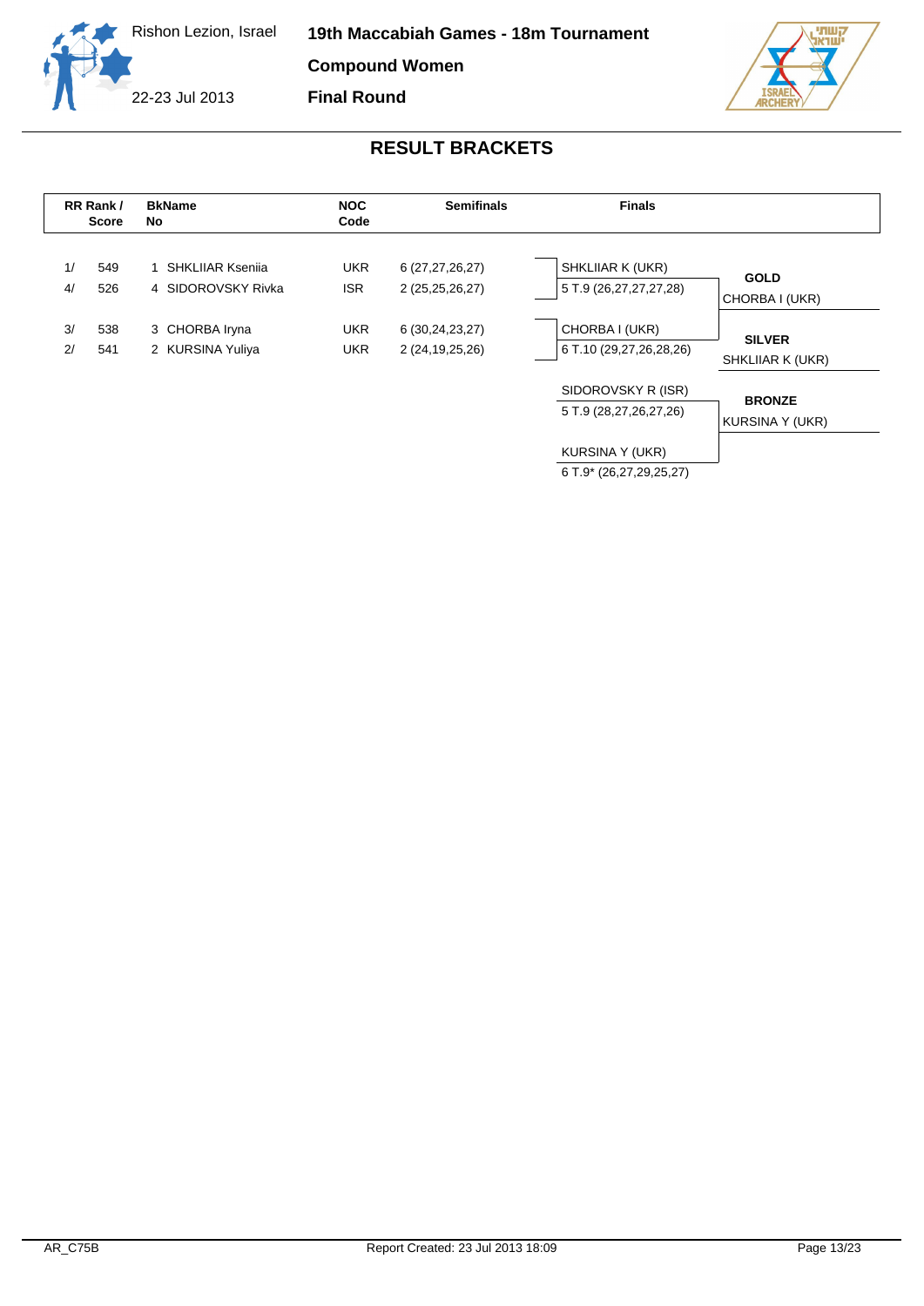



|          | RR Rank/<br>Score | <b>BkName</b><br>No                      | <b>NOC</b><br>Code       | <b>Semifinals</b>                     | <b>Finals</b>                                |                                   |
|----------|-------------------|------------------------------------------|--------------------------|---------------------------------------|----------------------------------------------|-----------------------------------|
| 1/<br>4/ | 549<br>526        | 1 SHKLIIAR Ksenija<br>4 SIDOROVSKY Rivka | <b>UKR</b><br><b>ISR</b> | 6 (27,27,26,27)<br>2 (25,25,26,27)    | SHKLIIAR K (UKR)<br>5 T.9 (26,27,27,27,28)   | <b>GOLD</b><br>CHORBA I (UKR)     |
| 3/<br>2/ | 538<br>541        | 3 CHORBA Iryna<br>2 KURSINA Yuliya       | <b>UKR</b><br><b>UKR</b> | 6 (30,24,23,27)<br>2 (24, 19, 25, 26) | CHORBA I (UKR)<br>6 T.10 (29,27,26,28,26)    | <b>SILVER</b><br>SHKLIIAR K (UKR) |
|          |                   |                                          |                          |                                       | SIDOROVSKY R (ISR)<br>5 T.9 (28,27,26,27,26) | <b>BRONZE</b><br>KURSINA Y (UKR)  |
|          |                   |                                          |                          |                                       | KURSINA Y (UKR)<br>6 T.9* (26,27,29,25,27)   |                                   |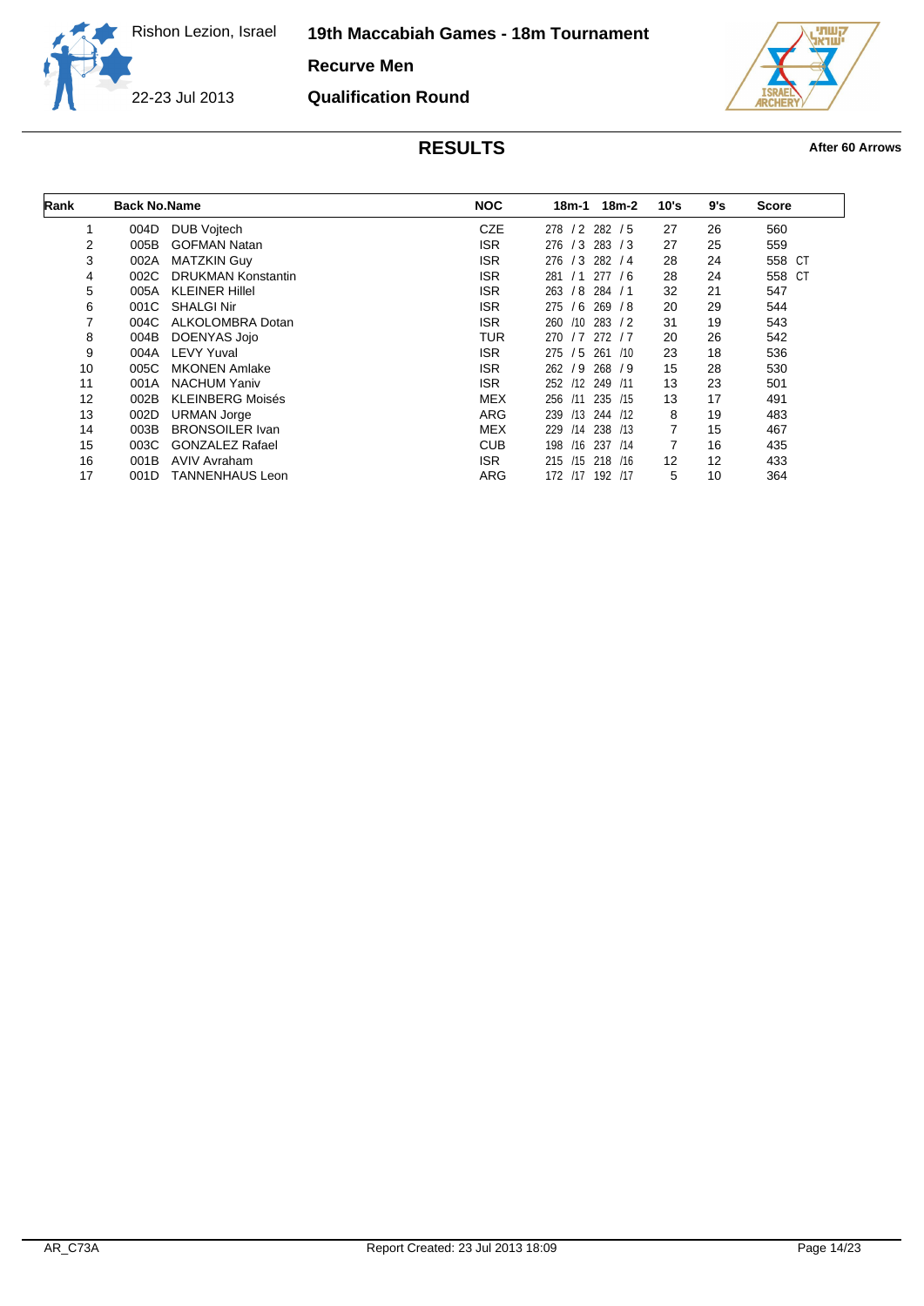**19th Maccabiah Games - 18m Tournament**

**Recurve Men**

**Qualification Round**

22-23 Jul 2013



| Rank | <b>Back No.Name</b> |                           | <b>NOC</b> | $18m-2$<br>18m-1         | 10's | 9's | <b>Score</b> |
|------|---------------------|---------------------------|------------|--------------------------|------|-----|--------------|
| 1    | 004D                | <b>DUB Vojtech</b>        | <b>CZE</b> | $/2$ 282 $/5$<br>278     | 27   | 26  | 560          |
| 2    | 005B                | <b>GOFMAN Natan</b>       | ISR.       | 276<br>/3<br>283 / 3     | 27   | 25  | 559          |
| 3    | 002A                | <b>MATZKIN Guy</b>        | <b>ISR</b> | 276<br>/3<br>282 / 4     | 28   | 24  | 558 CT       |
| 4    | 002C                | <b>DRUKMAN Konstantin</b> | <b>ISR</b> | 277/6<br>281<br>/1       | 28   | 24  | 558 CT       |
| 5    | 005A                | <b>KLEINER Hillel</b>     | <b>ISR</b> | /8<br>263<br>284/1       | 32   | 21  | 547          |
| 6    | 001C                | <b>SHALGI Nir</b>         | <b>ISR</b> | 275<br>/6<br>269 / 8     | 20   | 29  | 544          |
| 7    | 004C                | ALKOLOMBRA Dotan          | <b>ISR</b> | 260<br>283 / 2<br>/10    | 31   | 19  | 543          |
| 8    | 004B                | DOENYAS Jojo              | TUR        | /7<br>270<br>272<br>/7   | 20   | 26  | 542          |
| 9    | 004A                | <b>LEVY Yuval</b>         | <b>ISR</b> | 275<br>/5<br>261<br>/10  | 23   | 18  | 536          |
| 10   | 005C                | <b>MKONEN Amlake</b>      | <b>ISR</b> | /9<br>268<br>262<br>79   | 15   | 28  | 530          |
| 11   | 001A                | <b>NACHUM Yaniv</b>       | <b>ISR</b> | 252<br>/12<br>249 /11    | 13   | 23  | 501          |
| 12   | 002B                | <b>KLEINBERG Moisés</b>   | <b>MEX</b> | 235 /15<br>256<br>/11    | 13   | 17  | 491          |
| 13   | 002D                | <b>URMAN Jorge</b>        | ARG        | /13<br>244 /12<br>239    | 8    | 19  | 483          |
| 14   | 003B                | <b>BRONSOILER Ivan</b>    | <b>MEX</b> | 238 /13<br>229<br>/14    | 7    | 15  | 467          |
| 15   | 003C                | <b>GONZALEZ Rafael</b>    | <b>CUB</b> | /16<br>237<br>198<br>/14 | 7    | 16  | 435          |
| 16   | 001B                | <b>AVIV Avraham</b>       | ISR.       | 215<br>/15<br>218 /16    | 12   | 12  | 433          |
| 17   | 001D                | <b>TANNENHAUS Leon</b>    | ARG        | 172<br>192 /17<br>/17    | 5    | 10  | 364          |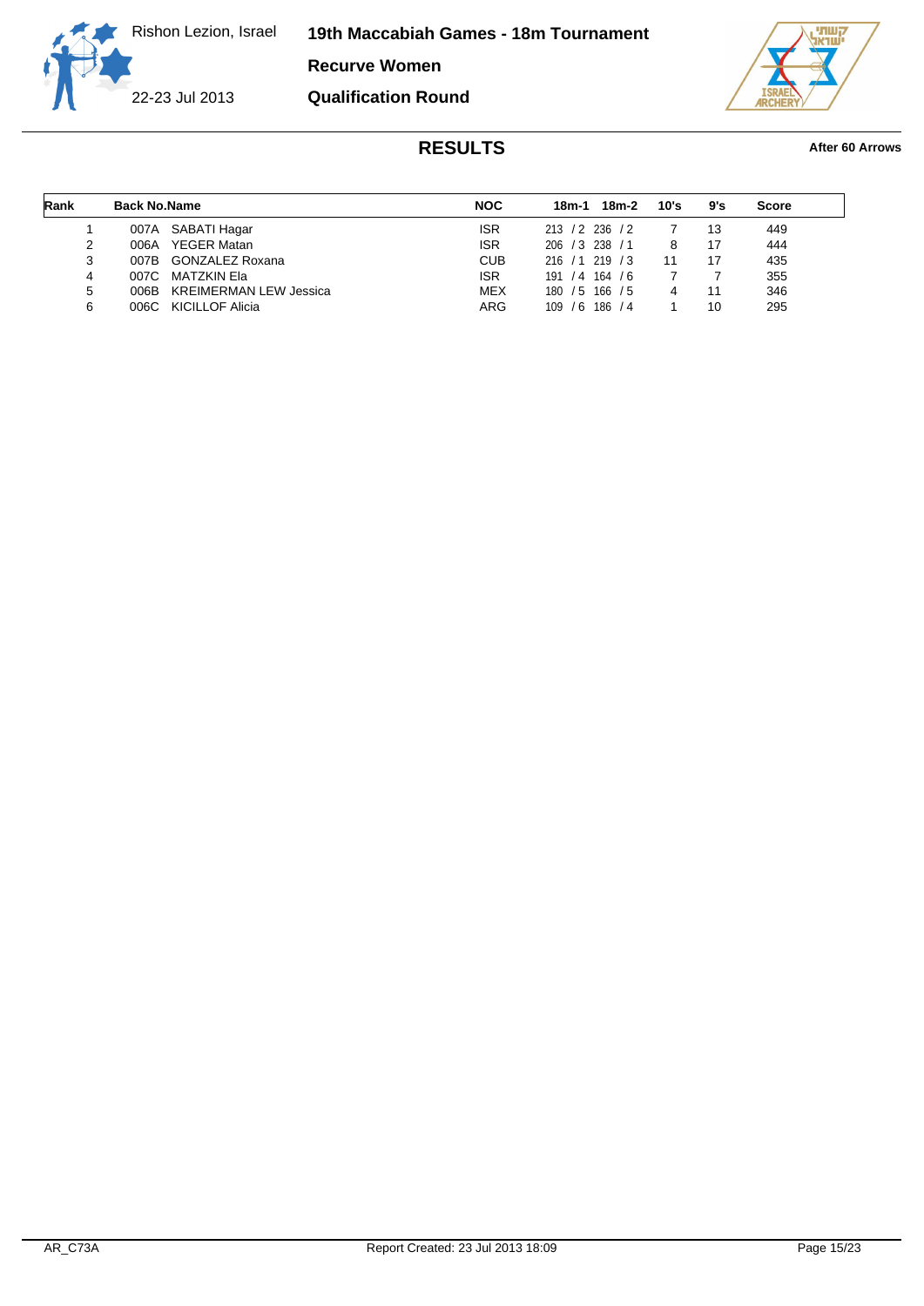**19th Maccabiah Games - 18m Tournament**

**Recurve Women**

22-23 Jul 2013

**Qualification Round**



| Rank | <b>Back No.Name</b> |                               | <b>NOC</b> | 18m-1             | 18m-2     | 10's | 9's | <b>Score</b> |
|------|---------------------|-------------------------------|------------|-------------------|-----------|------|-----|--------------|
|      |                     | 007A SABATI Hagar             | <b>ISR</b> | 213 / 2 236 / 2   |           |      | 13  | 449          |
| 2    | 006A                | <b>YEGER Matan</b>            | <b>ISR</b> | 206 / 3 238       | <u>/1</u> | 8    | 17  | 444          |
| 3    |                     | 007B GONZALEZ Roxana          | <b>CUB</b> | 216 / 1 219 / 3   |           | 11   | 17  | 435          |
| 4    | 007C                | MATZKIN Ela                   | <b>ISR</b> | 191/4             | 164/6     |      |     | 355          |
| 5    | 006B.               | <b>KREIMERMAN LEW Jessica</b> | <b>MEX</b> | $180 / 5$ 166 / 5 |           |      | 11  | 346          |
| 6    |                     | 006C KICILLOF Alicia          | ARG        | $109 / 6$ 186 / 4 |           |      | 10  | 295          |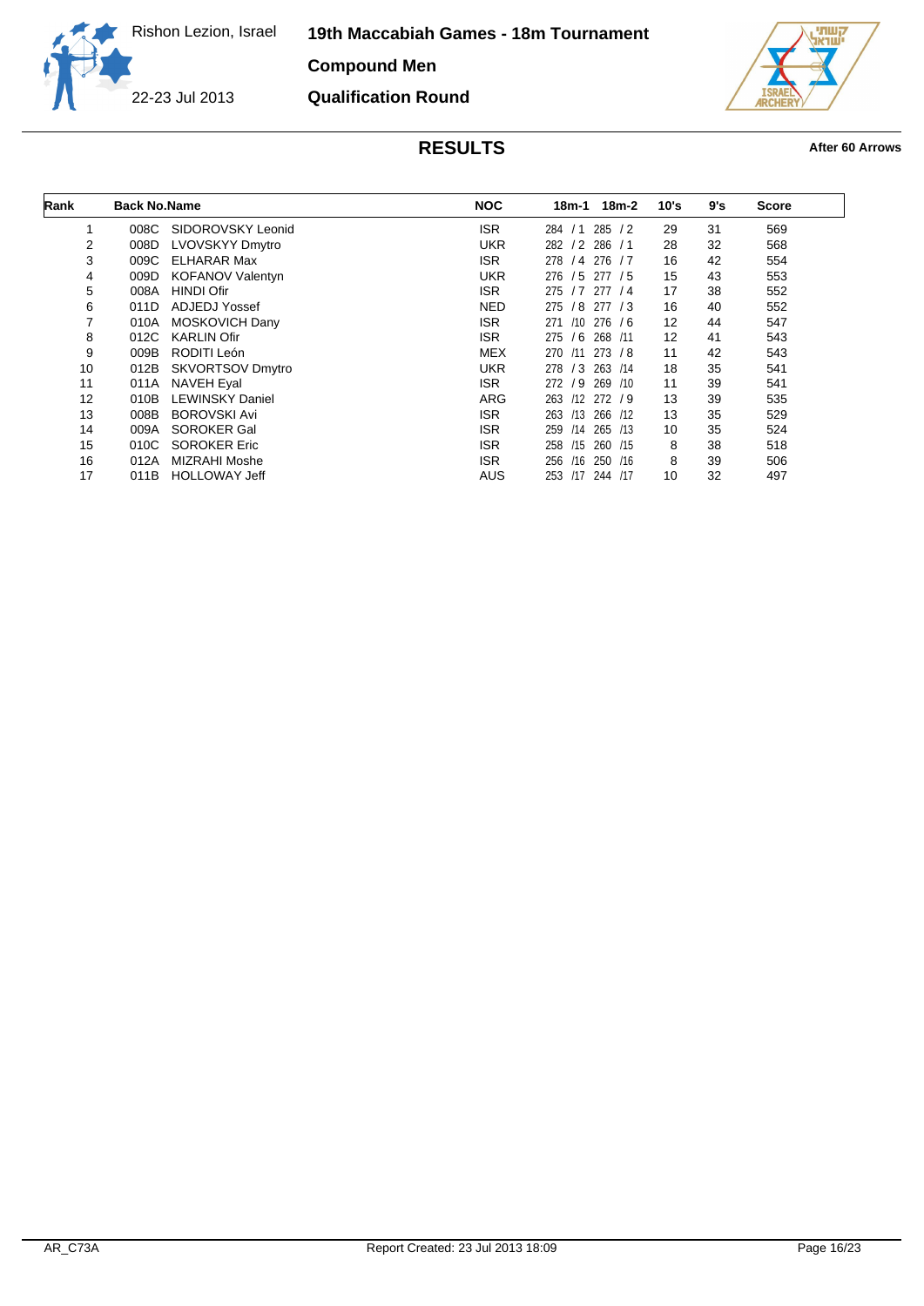**19th Maccabiah Games - 18m Tournament**

**Compound Men**

**Qualification Round**

22-23 Jul 2013



| Rank | <b>Back No.Name</b> |                         | <b>NOC</b> | 18m-2<br>18m-1          | 10's | 9's | <b>Score</b> |
|------|---------------------|-------------------------|------------|-------------------------|------|-----|--------------|
| 1    | 008C                | SIDOROVSKY Leonid       | <b>ISR</b> | 285 / 2<br>/1<br>284    | 29   | 31  | 569          |
| 2    | 008D                | LVOVSKYY Dmytro         | <b>UKR</b> | 286 / 1<br>282 / 2      | 28   | 32  | 568          |
| 3    | 009C                | ELHARAR Max             | ISR.       | 278<br>/4 276 / 7       | 16   | 42  | 554          |
| 4    | 009D                | <b>KOFANOV Valentyn</b> | <b>UKR</b> | /5<br>276<br>277 / 5    | 15   | 43  | 553          |
| 5    | 008A                | <b>HINDI Ofir</b>       | ISR.       | /7<br>277/4<br>275      | 17   | 38  | 552          |
| 6    | 011D                | <b>ADJEDJ Yossef</b>    | <b>NED</b> | 275<br>/8<br>277 / 3    | 16   | 40  | 552          |
|      | 010A                | MOSKOVICH Dany          | <b>ISR</b> | /10<br>276/6<br>271     | 12   | 44  | 547          |
| 8    | 012C                | <b>KARLIN Ofir</b>      | ISR.       | /6<br>275<br>268 /11    | 12   | 41  | 543          |
| 9    | 009B                | RODITI León             | <b>MEX</b> | /11<br>273/8<br>270     | 11   | 42  | 543          |
| 10   | 012B                | <b>SKVORTSOV Dmytro</b> | <b>UKR</b> | /3<br>263<br>278<br>/14 | 18   | 35  | 541          |
| 11   | 011A                | <b>NAVEH Eyal</b>       | ISR.       | /9<br>269 /10<br>272    | 11   | 39  | 541          |
| 12   | 010B                | <b>LEWINSKY Daniel</b>  | <b>ARG</b> | 263 /12 272 / 9         | 13   | 39  | 535          |
| 13   | 008B                | <b>BOROVSKI Avi</b>     | ISR.       | /13<br>266 /12<br>263   | 13   | 35  | 529          |
| 14   | 009A                | <b>SOROKER Gal</b>      | ISR.       | /14<br>265 /13<br>259   | 10   | 35  | 524          |
| 15   | 010C                | <b>SOROKER Eric</b>     | ISR.       | 258<br>/15<br>260 /15   | 8    | 38  | 518          |
| 16   | 012A                | <b>MIZRAHI Moshe</b>    | ISR.       | 250 /16<br>256<br>/16   | 8    | 39  | 506          |
| 17   | 011B                | <b>HOLLOWAY Jeff</b>    | AUS        | 253 /17 244 /17         | 10   | 32  | 497          |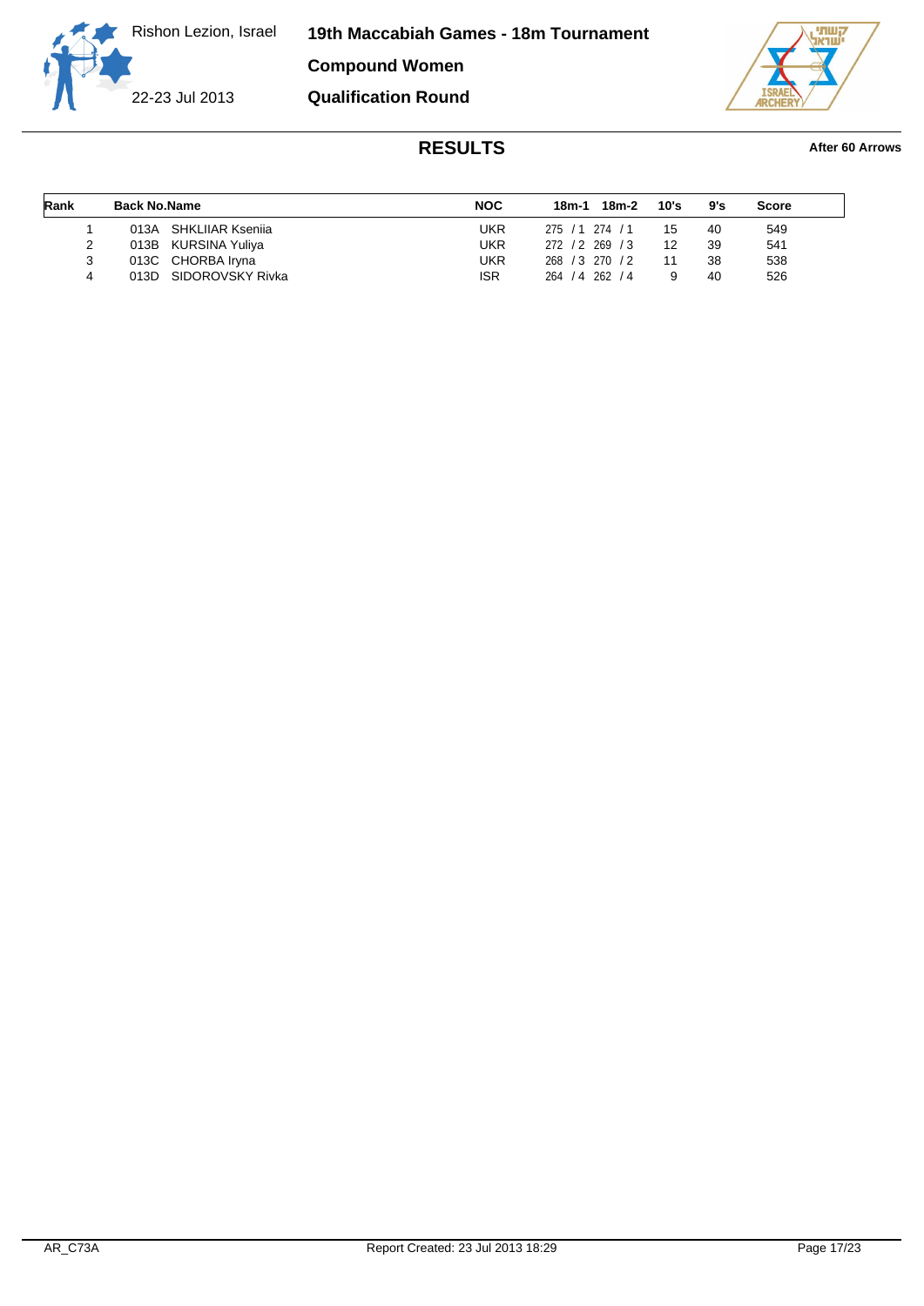**19th Maccabiah Games - 18m Tournament**

**Compound Women Qualification Round**

22-23 Jul 2013

villi, ëтн

| Rank | <b>Back No.Name</b> |                       | <b>NOC</b> | 18m-2<br>18m-1  |  | 10's | 9's | <b>Score</b> |  |
|------|---------------------|-----------------------|------------|-----------------|--|------|-----|--------------|--|
|      |                     | 013A SHKLIIAR Ksenija | UKR        | 275 / 1 274 / 1 |  | 15   | 40  | 549          |  |
| 2    |                     | 013B KURSINA Yuliya   | UKR        | 272 / 2 269 / 3 |  | 12   | 39  | 541          |  |
| 3    |                     | 013C CHORBA Iryna     | UKR        | 268 / 3 270 / 2 |  | 11   | 38  | 538          |  |
| 4    |                     | 013D SIDOROVSKY Rivka | <b>ISR</b> | 264 / 4 262 / 4 |  |      | 40  | 526          |  |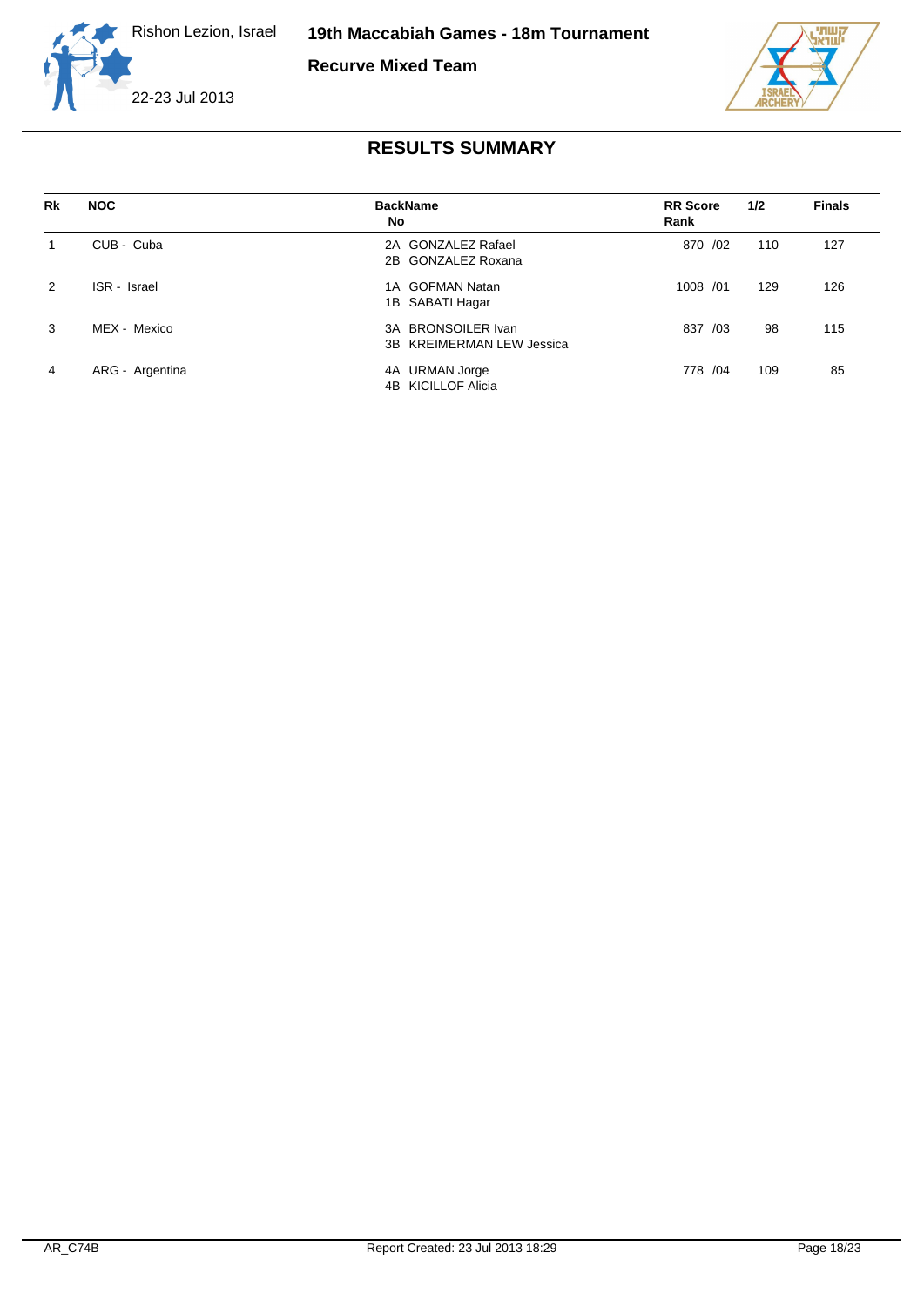

**Recurve Mixed Team**



| Rk            | <b>NOC</b>      | <b>BackName</b><br>No                                     | <b>RR</b> Score<br>Rank | 1/2 | <b>Finals</b> |
|---------------|-----------------|-----------------------------------------------------------|-------------------------|-----|---------------|
|               | CUB - Cuba      | 2A GONZALEZ Rafael<br>2B GONZALEZ Roxana                  | 870 /02                 | 110 | 127           |
| $\mathcal{P}$ | ISR - Israel    | 1A GOFMAN Natan<br>1B SABATI Hagar                        | 1008 /01                | 129 | 126           |
| 3             | MEX - Mexico    | <b>BRONSOILER Ivan</b><br>3A<br>3B KREIMERMAN LEW Jessica | 837<br>/03              | 98  | 115           |
| 4             | ARG - Argentina | <b>URMAN Jorge</b><br>4A<br>4B KICILLOF Alicia            | 778 /04                 | 109 | 85            |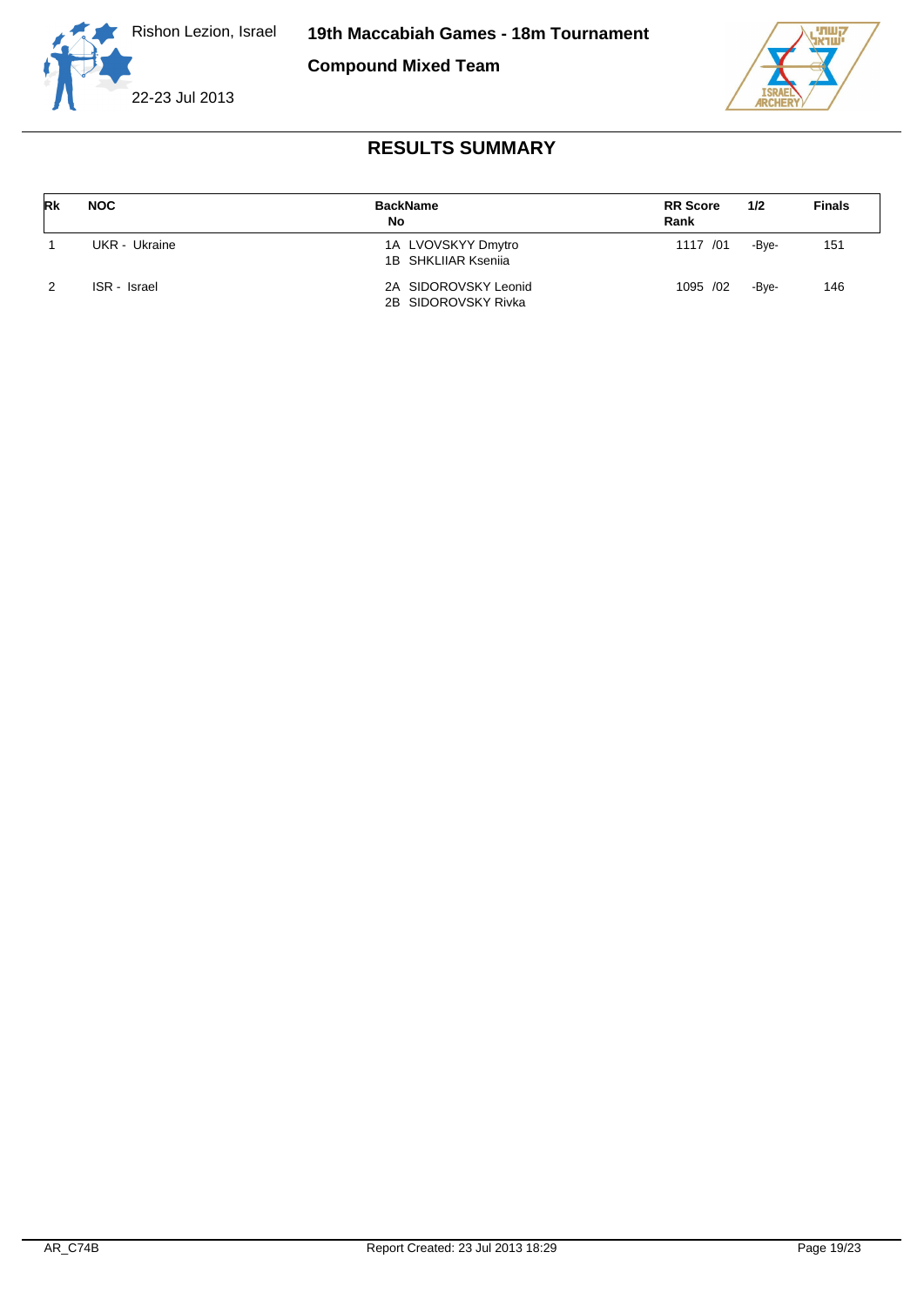



| Rk | <b>NOC</b>    | <b>BackName</b><br>No                       | <b>RR</b> Score<br>Rank | 1/2   | <b>Finals</b> |
|----|---------------|---------------------------------------------|-------------------------|-------|---------------|
|    | UKR - Ukraine | 1A LVOVSKYY Dmytro<br>1B SHKLIIAR Ksenija   | 1117 /01                | -Bve- | 151           |
| 2  | ISR - Israel  | 2A SIDOROVSKY Leonid<br>2B SIDOROVSKY Rivka | 1095 /02                | -Bve- | 146           |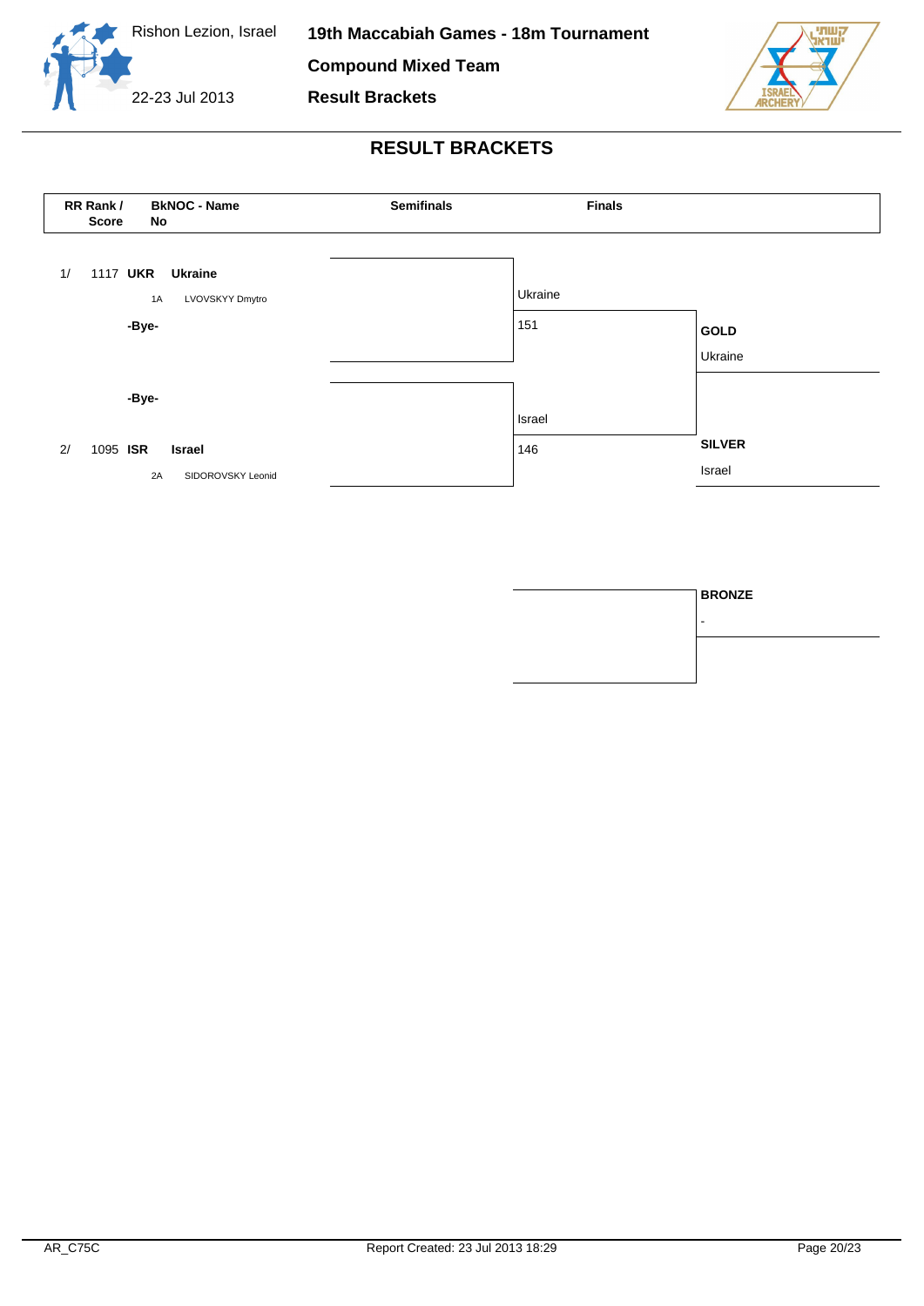





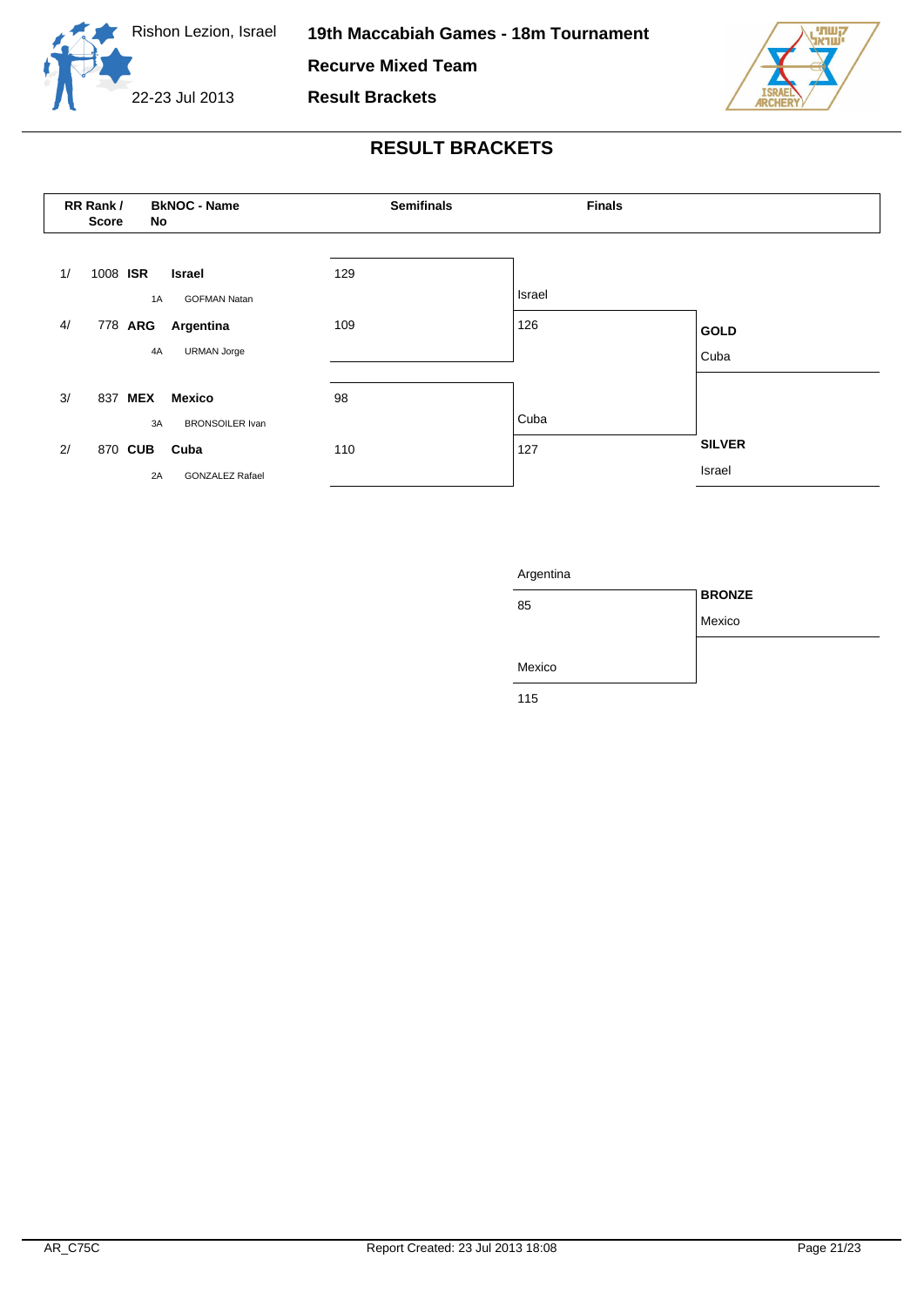





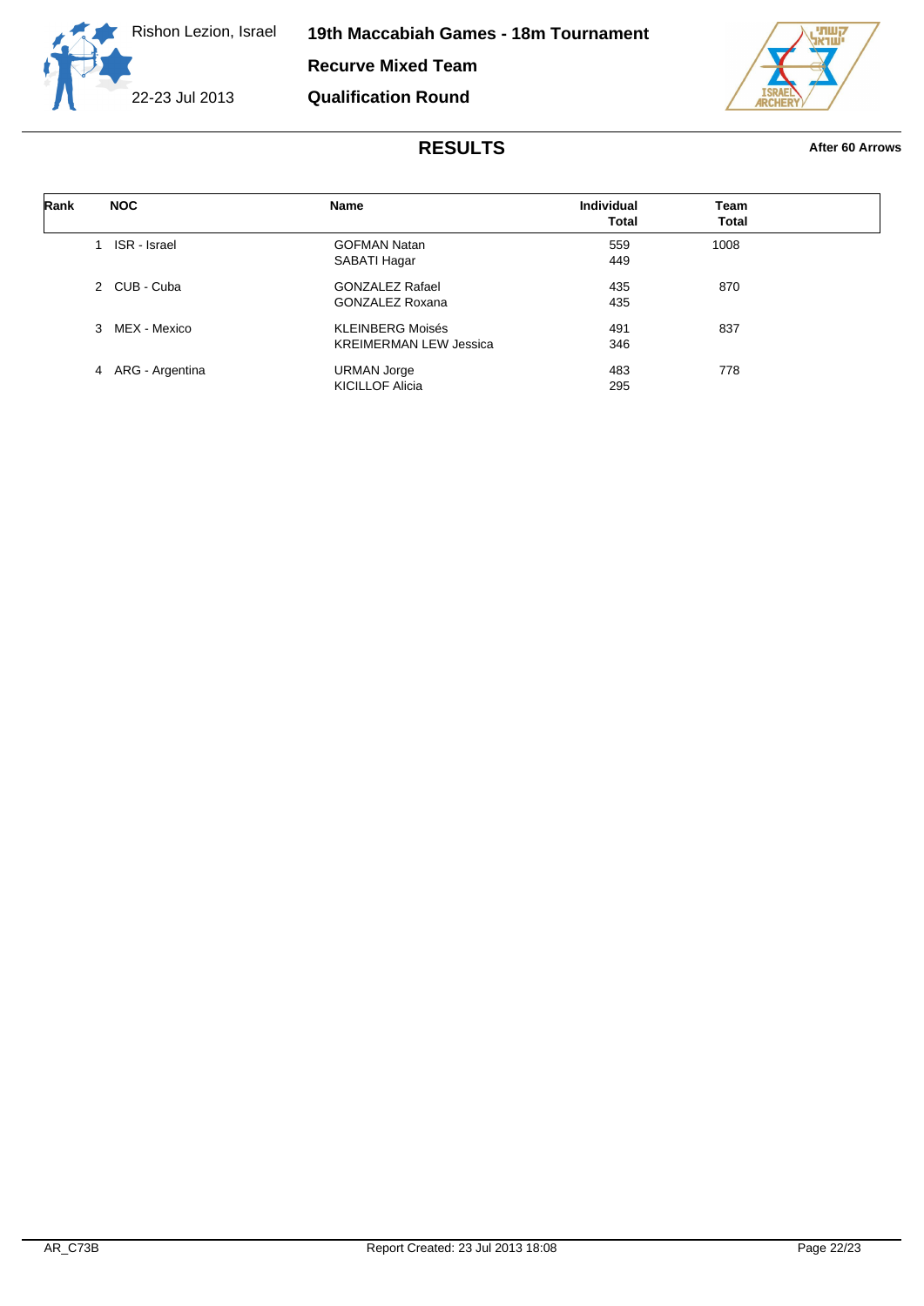



| Rank | <b>NOC</b>        | Name                          | <b>Individual</b><br><b>Total</b> | Team<br>Total |  |
|------|-------------------|-------------------------------|-----------------------------------|---------------|--|
|      |                   |                               |                                   |               |  |
|      | 1 ISR - Israel    | <b>GOFMAN Natan</b>           | 559                               | 1008          |  |
|      |                   | SABATI Hagar                  | 449                               |               |  |
|      | 2 CUB - Cuba      | <b>GONZALEZ Rafael</b>        | 435                               | 870           |  |
|      |                   | <b>GONZALEZ Roxana</b>        | 435                               |               |  |
|      | 3 MEX - Mexico    | <b>KLEINBERG Moisés</b>       | 491                               | 837           |  |
|      |                   | <b>KREIMERMAN LEW Jessica</b> | 346                               |               |  |
|      | 4 ARG - Argentina | <b>URMAN Jorge</b>            | 483                               | 778           |  |
|      |                   | <b>KICILLOF Alicia</b>        | 295                               |               |  |